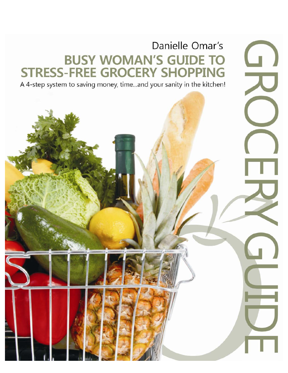# Danielle Omar's **BUSY WOMAN'S GUIDE TO STRESS-FREE GROCERY SHOPPING**

 $\Box$ 

A 4-step system to saving money, time...and your sanity in the kitchen!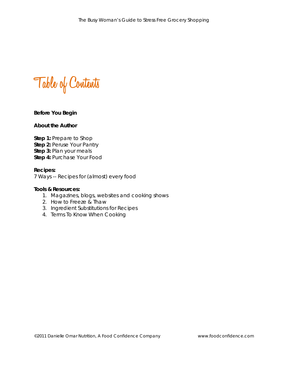**Table of Contents**

## **Before You Begin**

## **About the Author**

**Step 1:** Prepare to Shop **Step 2:** Peruse Your Pantry **Step 3:** Plan your meals **Step 4:** Purchase Your Food

#### **Recipes:**

7 Ways -- Recipes for (almost) every food

#### **Tools & Resources:**

- 1. Magazines, blogs, websites and cooking shows
- 2. How to Freeze & Thaw
- 3. Ingredient Substitutions for Recipes
- 4. Terms To Know When Cooking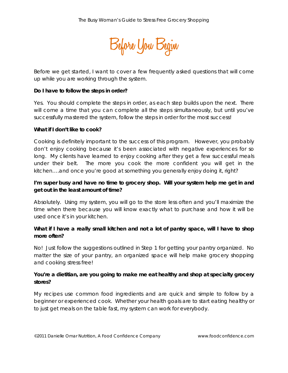

Before we get started, I want to cover a few frequently asked questions that will come up while you are working through the system.

#### **Do I have to follow the steps in order?**

Yes. You should complete the steps in order, as each step builds upon the next. There will come a time that you can complete all the steps simultaneously, but until you've successfully mastered the system, follow the steps in order for the most success!

#### **What if I don't like to cook?**

Cooking is definitely important to the success of this program. However, you probably don't enjoy cooking because it's been associated with negative experiences for so long. My clients have learned to enjoy cooking after they get a few successful meals under their belt. The more you cook the more confident you will get in the kitchen….and once you're good at something you generally enjoy doing it, right?

# **I'm super busy and have no time to grocery shop. Will your system help me get in and get out in the least amount of time?**

Absolutely. Using my system, you will go to the store less often and you'll maximize the time when there because you will know exactly what to purchase and how it will be used once it's in your kitchen.

# **What if I have a really small kitchen and not a lot of pantry space, will I have to shop more often?**

No! Just follow the suggestions outlined in Step 1 for getting your pantry organized. No matter the size of your pantry, an organized space will help make grocery shopping and cooking stress free!

# **You're a dietitian, are you going to make me eat healthy and shop at specialty grocery stores?**

My recipes use common food ingredients and are quick and simple to follow by a beginner or experienced cook. Whether your health goals are to start eating healthy or to just get meals on the table fast, my system can work for everybody.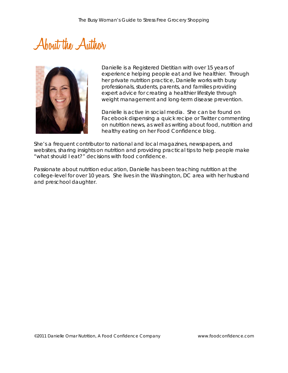# **About the Author**



Danielle is a Registered Dietitian with over 15 years of experience helping people eat and live healthier. Through her private nutrition practice, Danielle works with busy professionals, students, parents, and families providing expert advice for creating a healthier lifestyle through weight management and long-term disease prevention.

Danielle is active in social media. She can be found on Facebook dispensing a quick recipe or Twitter commenting on nutrition news, as well as writing about food, nutrition and healthy eating on her Food Confidence blog.

She's a frequent contributor to national and local magazines, newspapers, and websites, sharing insights on nutrition and providing practical tips to help people make "what should I eat?" decisions with food confidence.

Passionate about nutrition education, Danielle has been teaching nutrition at the college-level for over 10 years. She lives in the Washington, DC area with her husband and preschool daughter.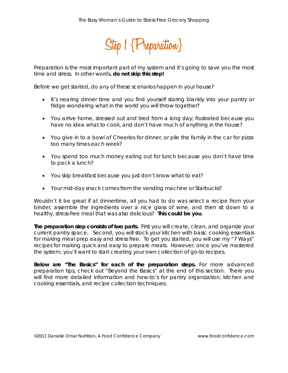

Preparation is the most important part of my system and it's going to save you the most time and stress. In other words, **do not skip this step!**

Before we get started, do any of these scenarios happen in your house?

- It's nearing dinner time and you find yourself staring blankly into your pantry or fridge wondering what in the world you will throw together?
- You arrive home, stressed out and tired from a long day; frustrated because you have no idea what to cook, and don't have much of anything in the house?
- You give in to a bowl of Cheerios for dinner, or pile the family in the car for pizza too many times each week?
- You spend too much money eating out for lunch because you don't have time to pack a lunch?
- You skip breakfast because you just don't know what to eat?
- Your mid-day snack comes from the vending machine or Starbucks?

Wouldn't it be great if at dinnertime, all you had to do was select a recipe from your binder, assemble the ingredients over a nice glass of wine, and then sit down to a healthy, stress-free meal that was also delicious? **This could be you**.

**The preparation step consists of two parts.** First you will create, clean, and organize your current pantry space. Second, you will stock your kitchen with basic cooking essentials for making meal prep easy and stress free. To get you started, you will use my "7 Ways" recipes for making quick and easy to prepare meals. However, once you've mastered the system, you'll want to start creating your own collection of go-to recipes.

**Below are "The Basics" for each of the preparation steps.** For more advanced preparation tips, check out "Beyond the Basics" at the end of this section. There you will find more detailed information and how-to's for pantry organization, kitchen and cooking essentials, and recipe collection techniques.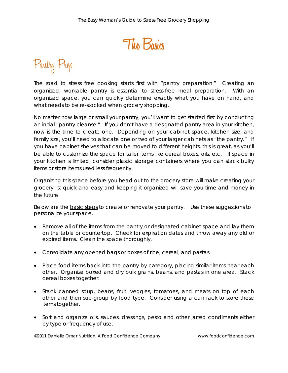**The Basics**

Pantry Prep

The road to stress free cooking starts first with "pantry preparation." Creating an organized, workable pantry is essential to stress-free meal preparation. With an organized space, you can quickly determine exactly what you have on hand, and what needs to be re-stocked when grocery shopping.

No matter how large or small your pantry, you'll want to get started first by conducting an initial "pantry cleanse." If you don't have a designated pantry area in your kitchen, now is the time to create one. Depending on your cabinet space, kitchen size, and family size, you'll need to allocate one or two of your larger cabinets as "the pantry." If you have cabinet shelves that can be moved to different heights, this is great, as you'll be able to customize the space for taller items like cereal boxes, oils, etc. If space in your kitchen is limited, consider plastic storage containers where you can stack bulky items or store items used less frequently.

Organizing this space before you head out to the grocery store will make creating your grocery list quick and easy and keeping it organized will save you time and money in the future.

Below are the basic steps to create or renovate your pantry. Use these suggestions to personalize your space.

- Remove all of the items from the pantry or designated cabinet space and lay them on the table or countertop. Check for expiration dates and throw away any old or expired items. Clean the space thoroughly.
- Consolidate any opened bags or boxes of rice, cereal, and pastas.
- Place food items back into the pantry by category, placing similar items near each other. Organize boxed and dry bulk grains, beans, and pastas in one area. Stack cereal boxes together.
- Stack canned soup, beans, fruit, veggies, tomatoes, and meats on top of each other and then sub-group by food type. Consider using a can rack to store these items together.
- Sort and organize oils, sauces, dressings, pesto and other jarred condiments either by type or frequency of use.

©2011 Danielle Omar Nutrition, A Food Confidence Company www.foodconfidence.com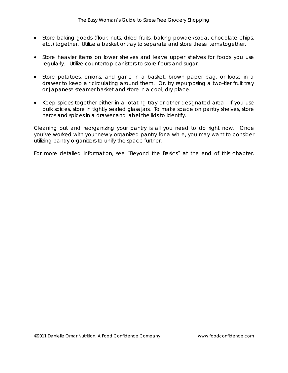- Store baking goods (flour, nuts, dried fruits, baking powder/soda, chocolate chips, etc.) together. Utilize a basket or tray to separate and store these items together.
- Store heavier items on lower shelves and leave upper shelves for foods you use regularly. Utilize countertop canisters to store flours and sugar.
- Store potatoes, onions, and garlic in a basket, brown paper bag, or loose in a drawer to keep air circulating around them. Or, try repurposing a two-tier fruit tray or Japanese steamer basket and store in a cool, dry place.
- Keep spices together either in a rotating tray or other designated area. If you use bulk spices, store in tightly sealed glass jars. To make space on pantry shelves, store herbs and spices in a drawer and label the lids to identify.

Cleaning out and reorganizing your pantry is all you need to do right now. Once you've worked with your newly organized pantry for a while, you may want to consider utilizing pantry organizers to unify the space further.

For more detailed information, see "Beyond the Basics" at the end of this chapter.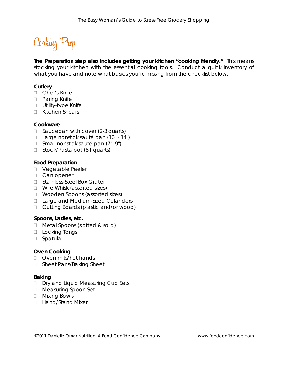Cooking Prep

**The Preparation step also includes getting your kitchen "cooking friendly."** This means stocking your kitchen with the essential cooking tools. Conduct a quick inventory of what you have and note what basics you're missing from the checklist below.

## **Cutlery**

- Chef's Knife
- D Paring Knife
- □ Utility-type Knife
- □ Kitchen Shears

#### **Cookware**

- $\Box$  Saucepan with cover (2-3 quarts)
- □ Large nonstick sauté pan (10" 14")
- $\Box$  Small nonstick sauté pan  $(7 9)$
- $\Box$  Stock/Pasta pot (8+ quarts)

#### **Food Preparation**

- D Vegetable Peeler
- □ Can opener
- □ Stainless-Steel Box Grater
- □ Wire Whisk (assorted sizes)
- □ Wooden Spoons (assorted sizes)
- □ Large and Medium-Sized Colanders
- □ Cutting Boards (plastic and/or wood)

#### **Spoons, Ladles, etc.**

- □ Metal Spoons (slotted & solid)
- D Locking Tongs
- □ Spatula

## **Oven Cooking**

- Oven mits/hot hands
- □ Sheet Pans/Baking Sheet

## **Baking**

- D Dry and Liquid Measuring Cup Sets
- □ Measuring Spoon Set
- Mixing Bowls
- □ Hand/Stand Mixer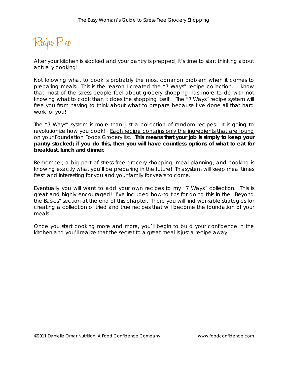Recipe Prep

After your kitchen is stocked and your pantry is prepped, it's time to start thinking about actually cooking!

Not knowing what to cook is probably the most common problem when it comes to preparing meals. This is the reason I created the "7 Ways" recipe collection. I know that most of the stress people feel about grocery shopping has more to do with not knowing what to cook than it does the shopping itself. The "7 Ways" recipe system will free you from having to think about what to prepare because I've done all that hard work for you!

The "7 Ways" system is more than just a collection of random recipes. It is going to revolutionize how you cook! *Each recipe contains only the ingredients that are found on your Foundation Foods Grocery list.* **This means that your job is simply to keep your pantry stocked; if you do this, then you will have countless options of what to eat for breakfast, lunch and dinner.** 

Remember, a big part of stress free grocery shopping, meal planning, and cooking is knowing exactly what you'll be preparing in the future! This system will keep meal times fresh and interesting for you and your family for years to come.

Eventually you will want to add your own recipes to my "7 Ways" collection. This is great and highly encouraged! I've included how-to tips for doing this in the "Beyond the Basics" section at the end of this chapter. There you will find workable strategies for creating a collection of tried and true recipes that will become the foundation of your meals.

Once you start cooking more and more, you'll begin to build your confidence in the kitchen and you'll realize that the secret to a great meal is just a recipe away.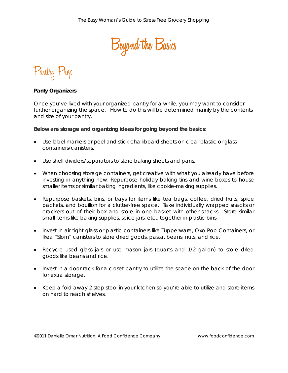

Pantry Prep

## **Panty Organizers**

Once you've lived with your organized pantry for a while, you may want to consider further organizing the space. How to do this will be determined mainly by the contents and size of your pantry.

**Below are storage and organizing ideas for going beyond the basics:**

- Use label markers or peel and stick chalkboard sheets on clear plastic or glass containers/canisters.
- Use shelf dividers/separators to store baking sheets and pans.
- When choosing storage containers, get creative with what you already have before investing in anything new. Repurpose holiday baking tins and wine boxes to house smaller items or similar baking ingredients, like cookie-making supplies.
- Repurpose baskets, bins, or trays for items like tea bags, coffee, dried fruits, spice packets, and bouillon for a clutter-free space. Take individually wrapped snacks or crackers out of their box and store in one basket with other snacks. Store similar small items like baking supplies, spice jars, etc., together in plastic bins.
- Invest in air tight glass or plastic containers like Tupperware, Oxo Pop Containers, or Ikea "Slom" canisters to store dried goods, pasta, beans, nuts, and rice.
- Recycle used glass jars or use mason jars (quarts and 1/2 gallon) to store dried goods like beans and rice.
- Invest in a door rack for a closet pantry to utilize the space on the back of the door for extra storage.
- Keep a fold away 2-step stool in your kitchen so you're able to utilize and store items on hard to reach shelves.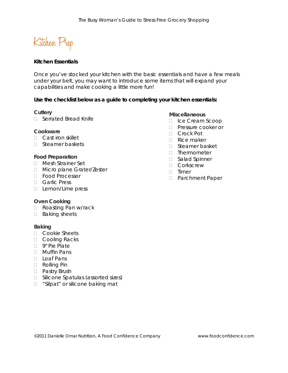Kitchen Prep

# **Kitchen Essentials**

Once you've stocked your kitchen with the basic essentials and have a few meals under your belt, you may want to introduce some items that will expand your capabilities and make cooking a little more fun!

## **Use the checklist below as a guide to completing your kitchen essentials:**

## **Cutlery**

□ Serrated Bread Knife

## **Cookware**

- □ Cast iron skillet
- □ Steamer baskets

## **Food Preparation**

- Mesh Strainer Set
- □ Micro plane Grater/Zester
- Food Processor
- Garlic Press
- □ Lemon/Lime press

## **Oven Cooking**

- □ Roasting Pan w/rack
- $\Box$  Baking sheets

## **Baking**

- Cookie Sheets
- □ Cooling Racks
- 9" Pie Plate
- Muffin Pans
- D Loaf Pans
- Rolling Pin
- D Pastry Brush
- $\Box$  Silicone Spatulas (assorted sizes)
- □ "Silpat" or silicone baking mat

## **Miscellaneous**

- Ice Cream Scoop
- **Pressure cooker or**
- □ Crock Pot
- □ Rice maker
- Steamer basket
- □ Thermometer
- □ Salad Spinner
- D Corkscrew
- $\Box$  Timer
- □ Parchment Paper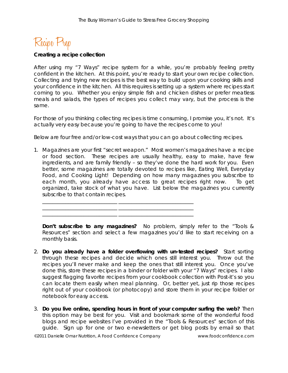Recipe F

#### **Creating a recipe collection**

After using my "7 Ways" recipe system for a while, you're probably feeling pretty confident in the kitchen. At this point, you're ready to start your own recipe collection. Collecting and trying new recipes is the best way to build upon your cooking skills and your confidence in the kitchen. All this requires is setting up a system where recipes start coming to you. Whether you enjoy simple fish and chicken dishes or prefer meatless meals and salads, the types of recipes you collect may vary, but the process is the same.

For those of you thinking collecting recipes is time consuming, I promise you, it's not. It's actually very easy because you're going to have the recipes come to you!

Below are four free and/or low-cost ways that you can go about collecting recipes.

1. Magazines are your first "secret weapon." Most women's magazines have a recipe or food section. These recipes are usually healthy, easy to make, have few ingredients, and are family friendly – so they've done the hard work for you. Even better, some magazines are totally devoted to recipes like, Eating Well, Everyday Food, and Cooking Light! Depending on how many magazines you subscribe to each month, you already have access to great recipes right now. To get organized, take stock of what you have. List below the magazines you currently subscribe to that contain recipes.

\_\_\_\_\_\_\_\_\_\_\_\_\_\_\_\_\_\_\_\_\_\_\_\_\_\_\_\_\_ \_\_\_\_\_\_\_\_\_\_\_\_\_\_\_\_\_\_\_\_\_\_\_\_\_\_\_\_\_ \_\_\_\_\_\_\_\_\_\_\_\_\_\_\_\_\_\_\_\_\_\_\_\_\_\_\_\_\_ \_\_\_\_\_\_\_\_\_\_\_\_\_\_\_\_\_\_\_\_\_\_\_\_\_\_\_\_\_ \_\_\_\_\_\_\_\_\_\_\_\_\_\_\_\_\_\_\_\_\_\_\_\_\_\_\_\_\_ \_\_\_\_\_\_\_\_\_\_\_\_\_\_\_\_\_\_\_\_\_\_\_\_\_\_\_\_\_

**Don't subscribe to any magazines?** No problem, simply refer to the "Tools & Resources" section and select a few magazines you'd like to start receiving on a monthly basis.

- 2. **Do you already have a folder overflowing with un-tested recipes?** Start sorting through these recipes and decide which ones still interest you. Throw out the recipes you'll never make and keep the ones that still interest you. Once you've done this, store these recipes in a binder or folder with your "7 Ways" recipes. I also suggest flagging favorite recipes from your cookbook collection with Post-it's so you can locate them easily when meal planning. Or, better yet, just rip those recipes right out of your cookbook (or photocopy) and store them in your recipe folder or notebook for easy access.
- 3. **Do you live online, spending hours in front of your computer surfing the web?** Then this option may be best for you. Visit and bookmark some of the wonderful food blogs and recipe websites I've provided in the "Tools & Resources" section of this guide. Sign up for one or two e-newsletters or get blog posts by email so that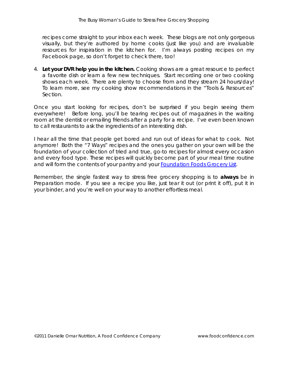recipes come straight to your inbox each week. These blogs are not only gorgeous visually, but they're authored by home cooks (just like you) and are invaluable resources for inspiration in the kitchen for. I'm always posting recipes on my Facebook page, so don't forget to check there, too!

4. **Let your DVR help you in the kitchen.** Cooking shows are a great resource to perfect a favorite dish or learn a few new techniques. Start recording one or two cooking shows each week. There are plenty to choose from and they stream 24 hours/day! To learn more, see my cooking show recommendations in the "Tools & Resources" Section.

Once you start looking for recipes, don't be surprised if you begin seeing them everywhere! Before long, you'll be tearing recipes out of magazines in the waiting room at the dentist or emailing friends after a party for a recipe. I've even been known to call restaurants to ask the ingredients of an interesting dish.

I hear all the time that people get bored and run out of ideas for what to cook. Not anymore! Both the "7 Ways" recipes and the ones you gather on your own will be the foundation of your collection of tried and true, go-to recipes for almost every occasion and every food type. These recipes will quickly become part of your meal time routine and will form the contents of your pantry and your [Foundation Foods Grocery List.](http://foodconfidence.com/bwgtemplates/)

Remember, the single fastest way to stress free grocery shopping is to **always** be in Preparation mode. If you see a recipe you like, just tear it out (or print it off), put it in your binder, and you're well on your way to another effortless meal.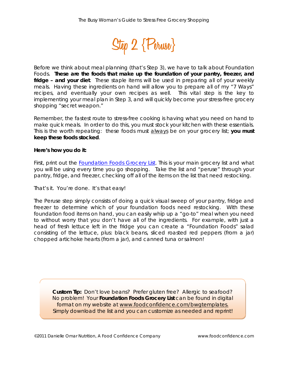

Before we think about meal planning (that's Step 3), we have to talk about Foundation Foods. **These are the foods that make up the** *foundation* **of your pantry, freezer, and fridge – and your diet**. These staple items will be used in preparing all of your weekly meals. Having these ingredients on hand will allow you to prepare all of my "7 Ways" recipes, and eventually your own recipes as well. This vital step is the key to implementing your meal plan in Step 3, and will quickly become your stress-free grocery shopping "secret weapon."

Remember, the fastest route to stress-free cooking is having what you need on hand to make quick meals. In order to do this, you must stock your kitchen with these essentials. This is the worth repeating: these foods must always be on your grocery list; **you must keep these foods stocked**.

## **Here's how you do it:**

First, print out the **Foundation Foods Grocery List**. This is your main grocery list and what you will be using every time you go shopping. Take the list and "peruse" through your pantry, fridge, and freezer, checking off all of the items on the list that need restocking.

That's it. You're done. It's that easy!

The Peruse step simply consists of doing a quick visual sweep of your pantry, fridge and freezer to determine which of your foundation foods need restocking. With these foundation food items on hand, you can easily whip up a "go-to" meal when you need to without worry that you don't have all of the ingredients.For example, with just a head of fresh lettuce left in the fridge you can create a "Foundation Foods" salad consisting of the lettuce, plus: black beans, sliced roasted red peppers (from a jar) chopped artichoke hearts (from a jar), and canned tuna or salmon!

*Custom Tip: Don't love beans? Prefer gluten free? Allergic to seafood? No problem! Your Foundation Foods Grocery List can be found in digital format on my website at [www.foodconfidence.com/bwgtemplates.](http://www.foodconfidence.com/) Simply download the list and you can customize as needed and reprint!*

©2011 Danielle Omar Nutrition, A Food Confidence Company www.foodconfidence.com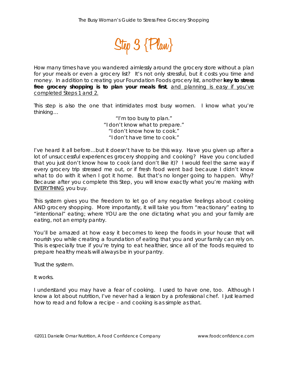

How many times have you wandered aimlessly around the grocery store without a plan for your meals or even a grocery list? It's not only stressful, but it costs you time and money. In addition to creating your Foundation Foods grocery list, another **key to stress free grocery shopping is to plan your meals first**, *and planning is easy if you've completed Steps 1 and 2*.

This step is also the one that intimidates most busy women. I know what you're thinking…

> *"I'm too busy to plan." "I don't know what to prepare." "I don't know how to cook." "I don't have time to cook."*

I've heard it all before…but it doesn't have to be this way. Have you given up after a lot of unsuccessful experiences grocery shopping and cooking? Have you concluded that you just don't know how to cook (and don't like it)? I would feel the same way if every grocery trip stressed me out, or if fresh food went bad because I didn't know what to do with it when I got it home. But that's no longer going to happen. Why? Because after you complete this Step, you will know exactly what you're making with EVERYTHING you buy.

This system gives you the freedom to let go of any negative feelings about cooking AND grocery shopping. More importantly, it will take you from "reactionary" eating to "intentional" eating; where YOU are the one dictating what you and your family are eating, not an empty pantry.

You'll be amazed at how easy it becomes to keep the foods in your house that will nourish you while creating a foundation of eating that you and your family can rely on. This is especially true if you're trying to eat healthier, since all of the foods required to prepare healthy meals will always be in your pantry.

Trust the system.

It works.

I understand you may have a fear of cooking. I used to have one, too. Although I know a lot about nutrition, I've never had a lesson by a professional chef. I just learned how to read and follow a recipe – and cooking is as simple as that.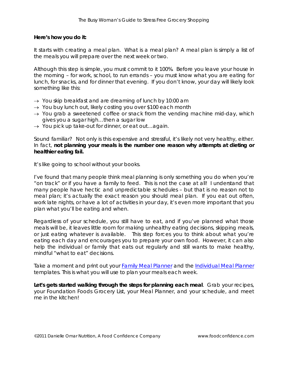## **Here's how you do it:**

It starts with creating a meal plan. What is a meal plan? A meal plan is simply a list of the meals you will prepare over the next week or two.

Although this step is simple, you must commit to it 100%. Before you leave your house in the morning – for work, school, to run errands – you must know what you are eating for lunch, for snacks, and for dinner that evening. If you don't know, your day will likely look something like this:

- $\rightarrow$  You skip breakfast and are dreaming of lunch by 10:00 am
- → You buy lunch out, likely costing you over \$100 each month
- $\rightarrow$  You grab a sweetened coffee or snack from the vending machine mid-day, which gives you a sugar high…then a sugar low
- $\rightarrow$  You pick up take-out for dinner, or eat out...again.

Sound familiar? Not only is this expensive and stressful, it's likely not very healthy, either. In fact, **not planning your meals is the number one reason why attempts at dieting or healthier eating fail.**

It's like going to school without your books.

I've found that many people think meal planning is only something you do when you're "on track" or if you have a family to feed. This is not the case at all! I understand that many people have hectic and unpredictable schedules – but that is no reason not to meal plan; it's actually the exact reason you *should* meal plan. If you eat out often, work late nights, or have a lot of activities in your day, it's even more important that you plan *what* you'll be eating and *when*.

Regardless of your schedule, you still have to eat, and if you've planned what those meals will be, it leaves little room for making unhealthy eating decisions, skipping meals, or just eating whatever is available. This step forces you to think about what you're eating each day *and* encourages you to prepare your own food. However, it can also help the individual or family that eats out regularly and still wants to make healthy, mindful "what to eat" decisions.

Take a moment and print out your [Family Meal Planner](http://foodconfidence.com/bwgtemplates/) and the [Individual Meal Planner](http://foodconfidence.com/bwgtemplates/) templates. This is what you will use to plan your meals each week.

**Let's gets started walking through the steps for planning each meal**. Grab your recipes, your Foundation Foods Grocery List, your Meal Planner, and your schedule, and meet me in the kitchen!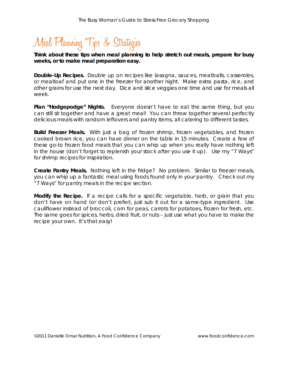# Meal Planning Tips & Strategies

# *Think about these tips when meal planning to help stretch out meals, prepare for busy weeks, or to make meal preparation easy.*

**Double-Up Recipes.** Double up on recipes like lasagna, sauces, meatballs, casseroles, or meatloaf and put one in the freezer for another night. Make extra pasta, rice, and other grains for use the next day. Dice and slice veggies one time and use for meals all week.

**Plan "Hodgepodge" Nights.** Everyone doesn't have to eat the same thing, but you can still sit together and have a great meal! You can throw together several perfectly delicious meals with random leftovers and pantry items, all catering to different tastes.

**Build Freezer Meals.** With just a bag of frozen shrimp, frozen vegetables, and frozen cooked brown rice, you can have dinner on the table in 15 minutes. Create a few of these go-to frozen food meals that you can whip up when you really have nothing left in the house (don't forget to replenish your stock after you use it up). Use my "7 Ways" for shrimp recipes for inspiration.

**Create Pantry Meals.** Nothing left in the fridge? No problem. Similar to freezer meals, you can whip up a fantastic meal using foods found only in your pantry. Check out my "7 Ways" for pantry meals in the recipe section.

**Modify the Recipe.** If a recipe calls for a specific vegetable, herb, or grain that you don't have on hand (or don't prefer), just sub it out for a same-type ingredient. Use cauliflower instead of broccoli, corn for peas, carrots for potatoes, frozen for fresh, etc. The same goes for spices, herbs, dried fruit, or nuts – just use what you have to make the recipe your own. It's that easy!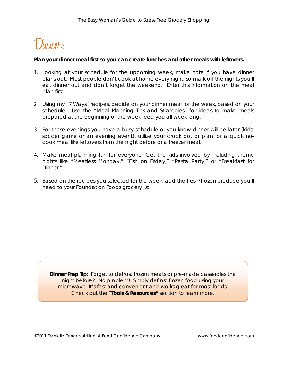

## *Plan your dinner meal first so you can create lunches and other meals with leftovers.*

- 1. Looking at your schedule for the upcoming week, make note if you have dinner plans out. Most people don't cook at home *every* night, so mark off the nights you'll eat dinner out and don't forget the weekend. Enter this information on the meal plan first.
- 2. Using my "7 Ways" recipes, decide on your dinner meal for the week, based on your schedule. Use the "Meal Planning Tips and Strategies" for ideas to make meals prepared at the beginning of the week feed you all week long.
- 3. For those evenings you have a busy schedule or you know dinner will be later (kids' soccer game or an evening event), utilize your crock pot or plan for a quick nocook meal like leftovers from the night before or a freezer meal.
- 4. Make meal planning fun for everyone! Get the kids involved by including theme nights like "Meatless Monday," "Fish on Friday," "Pasta Party," or "Breakfast for Dinner."
- 5. Based on the recipes you selected for the week, add the fresh/frozen produce you'll need to your Foundation Foods grocery list.

**Dinner Prep Tip**: Forget to defrost frozen meats or pre-made casseroles the night before? No problem! Simply defrost frozen food using your microwave. It's fast and convenient and works great for most foods. Check out the "**Tools & Resources"** section to learn more.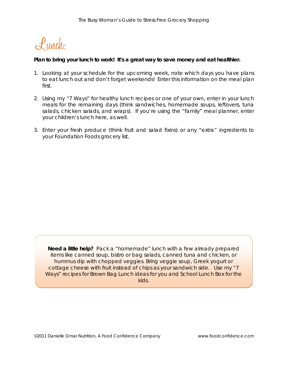Lunch:

## *Plan to bring your lunch to work! It's a great way to save money and eat healthier.*

- 1. Looking at your schedule for the upcoming week, note which days you have plans to eat lunch out and don't forget weekends! Enter this information on the meal plan first.
- 2. Using my "7 Ways" for healthy lunch recipes or one of your own, enter in your lunch meals for the remaining days (think sandwiches, homemade soups, leftovers, tuna salads, chicken salads, and wraps). If you're using the "family" meal planner, enter your children's lunch here, as well.
- 3. Enter your fresh produce (think fruit and salad fixins) or any "extra" ingredients to your Foundation Foods grocery list.

**Need a little help?** Pack a "homemade" lunch with a few already prepared items like canned soup, bistro or bag salads, canned tuna and chicken, or hummus dip with chopped veggies. Bring veggie soup, Greek yogurt or cottage cheese with fruit instead of chips as your sandwich side. Use my "7 Ways" recipes for Brown Bag Lunch ideas for you and School Lunch Box for the kids.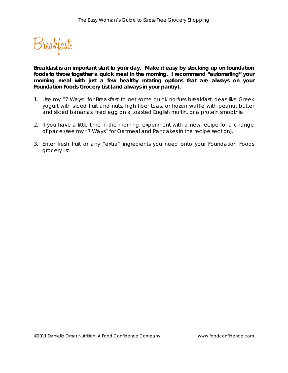Breakfast:

*Breakfast is an important start to your day. Make it easy by stocking up on foundation foods to throw together a quick meal in the morning. I recommend "automating" your morning meal with just a few healthy rotating options that are always on your Foundation Foods Grocery List (and always in your pantry).*

- 1. Use my "7 Ways" for Breakfast to get some quick no-fuss breakfast ideas like Greek yogurt with sliced fruit and nuts, high fiber toast or frozen waffle with peanut butter and sliced bananas, fried egg on a toasted English muffin, or a protein smoothie.
- 2. If you have a little time in the morning, experiment with a new recipe for a change of pace (see my "7 Ways" for Oatmeal and Pancakes in the recipe section).
- 3. Enter fresh fruit or any "extra" ingredients you need onto your Foundation Foods grocery list.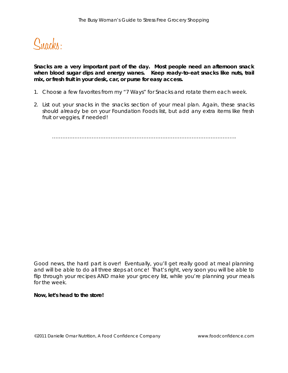

*Snacks are a very important part of the day. Most people need an afternoon snack*  when blood sugar dips and energy wanes. Keep ready-to-eat snacks like nuts, trail *mix, or fresh fruit in your desk, car, or purse for easy access.* 

- 1. Choose a few favorites from my "7 Ways" for Snacks and rotate them each week.
- 2. List out your snacks in the snacks section of your meal plan. Again, these snacks should already be on your Foundation Foods list, but add any extra items like fresh fruit or veggies, if needed!

……………………………………………………………………………………………..

Good news, the hard part is over! Eventually, you'll get really good at meal planning and will be able to do all three steps at once! That's right, very soon you will be able to flip through your recipes AND make your grocery list, while you're planning your meals for the week.

#### **Now, let's head to the store!**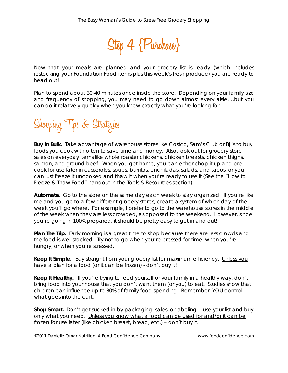

Now that your meals are planned and your grocery list is ready (which includes restocking your Foundation Food items plus this week's fresh produce) you are ready to head out!

Plan to spend about 30-40 minutes once inside the store. Depending on your family size and frequency of shopping, you may need to go down almost every aisle….but you can do it relatively quickly when you know exactly what you're looking for.



**Buy in Bulk.** Take advantage of warehouse stores like Costco, Sam's Club or BJ's to buy foods you cook with often to save time and money. Also, look out for grocery store sales on everyday items like whole roaster chickens, chicken breasts, chicken thighs, salmon, and ground beef. When you get home, you can either chop it up and precook for use later in casseroles, soups, burritos, enchiladas, salads, and tacos, or you can just freeze it uncooked and thaw it when you're ready to use it (See the "How to Freeze & Thaw Food" handout in the Tools & Resources section).

**Automate.** Go to the store on the same day each week to stay organized. If you're like me and you go to a few different grocery stores, create a system of which day of the week you'll go where. For example, I prefer to go to the warehouse stores in the middle of the week when they are less crowded, as opposed to the weekend. However, since you're going in 100% prepared, it should be pretty easy to get in and out!

**Plan The Trip.** Early morning is a great time to shop because there are less crowds and the food is well stocked. Try not to go when you're pressed for time, when you're hungry, or when you're stressed.

Keep It Simple. Buy straight from your grocery list for maximum efficiency. Unless you have a plan for a food (or it can be frozen) - don't buy it!

**Keep It Healthy.** If you're trying to feed yourself or your family in a healthy way, don't bring food into your house that you don't want them (or you) to eat. Studies show that children can influence up to 80% of family food spending. Remember, YOU control what goes into the cart.

**Shop Smart.** Don't get sucked in by packaging, sales, or labeling -- use your list and buy only what you need. Unless you know what a food can be used for and/or it can be frozen for use later (like chicken breast, bread, etc.) – don't buy it.

©2011 Danielle Omar Nutrition, A Food Confidence Company www.foodconfidence.com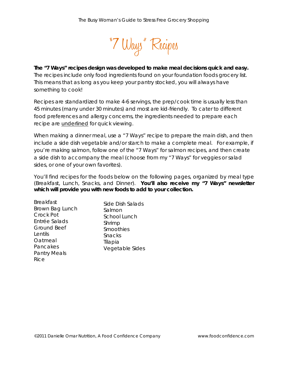

# **The "7 Ways" recipes design was developed to make meal decisions quick and easy.**

The recipes include only food ingredients found on your foundation foods grocery list. This means that as long as you keep your pantry stocked, you will always have something to cook!

Recipes are standardized to make 4-6 servings, the prep/cook time is usually less than 45 minutes (many under 30 minutes) and most are kid-friendly. To cater to different food preferences and allergy concerns, the ingredients needed to prepare each recipe are *underlined* for quick viewing.

When making a dinner meal, use a "7 Ways" recipe to prepare the main dish, and then include a side dish vegetable and/or starch to make a complete meal. For example, if you're making salmon, follow one of the "7 Ways" for salmon recipes, and then create a side dish to accompany the meal (choose from my "7 Ways" for veggies or salad sides, or one of your own favorites).

You'll find recipes for the foods below on the following pages, organized by meal type (Breakfast, Lunch, Snacks, and Dinner). **You'll also receive my "7 Ways" newsletter which will provide you with new foods to add to your collection.**

| <b>Breakfast</b>    | Side Dish Salads |
|---------------------|------------------|
| Brown Bag Lunch     | Salmon           |
| Crock Pot           | School Lunch     |
| Entrée Salads       | Shrimp           |
| <b>Ground Beef</b>  | Smoothies        |
| Lentils             | Snacks           |
| Oatmeal             | Tilapia          |
| Pancakes            | Vegetable Sides  |
| <b>Pantry Meals</b> |                  |
| Rice                |                  |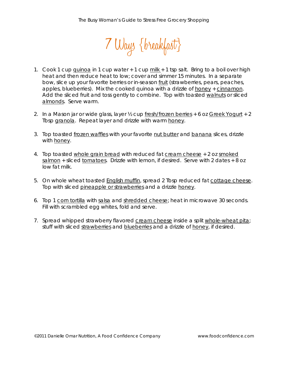

- 1. Cook 1 cup quinoa in 1 cup water  $+1$  cup milk  $+1$  tsp salt. Bring to a boil over high heat and then reduce heat to low; cover and simmer 15 minutes. In a separate bow, slice up your favorite berries or in-season fruit (strawberries, pears, peaches, apples, blueberries). Mix the cooked quinoa with a drizzle of honey + cinnamon. Add the sliced fruit and toss gently to combine. Top with toasted walnuts or sliced almonds. Serve warm.
- 2. In a Mason jar or wide glass, layer ½ cup fresh/frozen berries + 6 oz Greek Yogurt + 2 Tbsp granola. Repeat layer and drizzle with warm honey.
- 3. Top toasted frozen waffles with your favorite nut butter and banana slices, drizzle with honey.
- 4. Top toasted whole grain bread with reduced fat cream cheese + 2 oz smoked salmon + sliced tomatoes. Drizzle with lemon, if desired. Serve with 2 dates + 8 oz low fat milk.
- 5. On whole wheat toasted English muffin, spread 2 Tbsp reduced fat cottage cheese. Top with sliced pineapple or strawberries and a drizzle honey.
- 6. Top 1 corn tortilla with salsa and shredded cheese; heat in microwave 30 seconds. Fill with scrambled egg whites, fold and serve.
- 7. Spread whipped strawberry flavored cream cheese inside a split whole-wheat pita; stuff with sliced strawberries and blueberries and a drizzle of honey, if desired.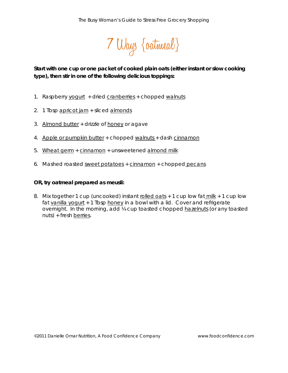

*Start with one cup or one packet of cooked plain oats (either instant or slow cooking type), then stir in one of the following delicious toppings:*

- 1. Raspberry yogurt + dried cranberries + chopped walnuts
- 2. 1 Tbsp apricot jam + sliced almonds
- 3. Almond butter + drizzle of honey or agave
- 4. Apple or pumpkin butter + chopped walnuts + dash cinnamon
- 5. Wheat germ + cinnamon + unsweetened almond milk
- 6. Mashed roasted sweet potatoes + cinnamon + chopped pecans

#### **OR, try oatmeal prepared as meusli:**

8. Mix together 1 cup (uncooked) instant rolled oats + 1 cup low fat milk + 1 cup low fat vanilla yogurt + 1 Tbsp honey in a bowl with a lid. Cover and refrigerate overnight. In the morning, add ¼ cup toasted chopped hazelnuts (or any toasted nuts) + fresh berries.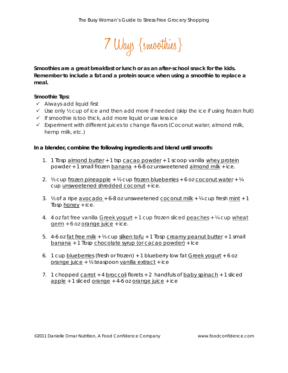

*Smoothies are a great breakfast or lunch or as an after-school snack for the kids. Remember to include a fat and a protein source when using a smoothie to replace a meal.* 

## **Smoothie Tips:**

- $\checkmark$  Always add liquid first
- $\checkmark$  Use only  $\frac{1}{2}$  cup of ice and then add more if needed (skip the ice if using frozen fruit)
- $\checkmark$  If smoothie is too thick, add more liquid or use less ice
- $\checkmark$  Experiment with different juices to change flavors (Coconut water, almond milk, hemp milk, etc.)

## **In a blender, combine the following ingredients and blend until smooth:**

- 1. 1 Tbsp almond butter + 1 tsp cacao powder + 1 scoop vanilla whey protein powder + 1 small frozen banana + 6-8 oz unsweetened almond milk + ice.
- 2.  $\frac{1}{2}$  cup frozen pineapple +  $\frac{1}{2}$  cup frozen blueberries + 6 oz coconut water +  $\frac{1}{4}$ cup unsweetened shredded coconut + ice.
- 3.  $\frac{1}{2}$  of a ripe <u>avocado</u> + 6-8 oz unsweetened coconut milk +  $\frac{1}{4}$  cup fresh mint + 1 Tbsp honey + ice.
- 4. 4 oz fat free vanilla Greek yogurt + 1 cup frozen sliced peaches + 1/4 cup wheat  $germ + 6$  oz <u>orange juice</u> + ice.
- 5. 4-6 oz fat free milk  $+$   $\frac{1}{2}$  cup silken tofu + 1 Tbsp creamy peanut butter + 1 small banana + 1 Tbsp chocolate syrup (or cacao powder) + Ice
- 6. 1 cup blueberries (fresh or frozen) + 1 blueberry low fat Greek yogurt + 6 oz orange juice + ½ teaspoon vanilla extract + ice
- 7. 1 chopped carrot + 4 broccoli florets + 2 handfuls of baby spinach + 1 sliced  $\alpha$  apple + 1 sliced orange + 4-6 oz orange juice + ice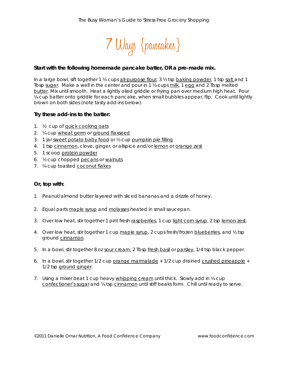

#### *Start with the following homemade pancake batter, OR a pre-made mix.*

In a large bowl, sift together 1  $\frac{1}{2}$  cups all-purpose flour, 3  $\frac{1}{2}$  tsp baking powder, 1 tsp salt and 1 Tbsp sugar. Make a well in the center and pour in 1 ¼ cups milk, 1 egg and 2 Tbsp melted butter. Mix until smooth. Heat a lightly oiled griddle or frying pan over medium high heat. Pour ¼ cup batter onto griddle for each pancake, when small bubbles appear, flip. Cook until lightly brown on both sides (note tasty add-ins below).

#### **Try these add-ins to the batter:**

- 1. ½ cup of quick cooking oats
- 2. ¼ cup wheat germ or ground flaxseed
- 3. 1 jar sweet potato baby food or ½ cup pumpkin pie filling
- 4. 1 tsp cinnamon, clove, ginger, or allspice and/or lemon or orange zest
- 5. 1 scoop protein powder
- 6. ½ cup chopped pecans or walnuts
- 7. *V*<sub>4</sub> cup toasted **coconut** flakes

#### **Or, top with:**

- 1. Peanut/almond butter layered with sliced bananas and a drizzle of honey.
- 2. Equal parts maple syrup and molasses heated in small saucepan.
- 3. Over low heat, stir together 1 pint fresh raspberries, 1 cup light corn syrup, 2 tsp lemon zest.
- 4. Over low heat, stir together 1 cup maple syrup, 2 cups fresh/frozen blueberries, and  $\frac{1}{2}$  tsp ground cinnamon.
- 5. In a bowl, stir together 8 oz sour cream, 2 Tbsp fresh basil or parsley, 1/4 tsp black pepper.
- 6. In a bowl, stir together  $1/2$  cup orange marmalade  $+1/2$  cup drained crushed pineapple  $+$ 1/2 tsp ground ginger.
- 7. Using a mixer beat 1 cup heavy whipping cream until thick. Slowly add in ¼ cup confectioner's sugar and 14 tsp cinnamon until stiff beaks form. Chill until ready to serve.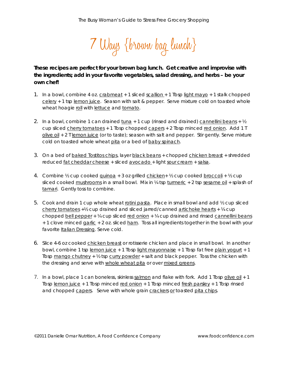7 Ways {brown bag lunch}

# *These recipes are perfect for your brown bag lunch. Get creative and improvise with the ingredients; add in your favorite vegetables, salad dressing, and herbs – be your own chef!*

- 1. In a bowl, combine 4 oz. crabmeat + 1 sliced scallion + 1 Tbsp light mayo + 1 stalk chopped celery + 1 tsp lemon juice. Season with salt & pepper. Serve mixture cold on toasted whole wheat hoagie roll with lettuce and tomato.
- 2. In a bowl, combine 1 can drained  $t$ una + 1 cup (rinsed and drained) cannellini beans +  $\frac{1}{2}$ cup sliced cherry tomatoes + 1 Tbsp chopped capers + 2 Tbsp minced red onion. Add 1 T olive oil + 2 T lemon juice (or to taste); season with salt and pepper. Stir gently. Serve mixture cold on toasted whole wheat pita or a bed of baby spinach.
- 3. On a bed of baked **Tostitos chips**, layer black beans + chopped chicken breast + shredded reduced fat cheddar cheese + sliced avocado + light sour cream + salsa.
- 4. Combine  $\frac{1}{2}$  cup cooked guinoa + 3 oz grilled chicken +  $\frac{1}{2}$  cup cooked broccoli +  $\frac{1}{2}$  cup sliced cooked mushrooms in a small bowl. Mix in ¼ tsp turmeric + 2 tsp sesame oil + splash of tamari. Gently toss to combine.
- 5. Cook and drain 1 cup whole wheat rotini pasta. Place in small bowl and add ½ cup sliced cherry tomatoes  $+$  1/2 cup drained and sliced jarred/canned artichoke hearts  $+$  1/4 cup chopped bell pepper +  $\frac{1}{4}$  cup sliced red onion +  $\frac{1}{4}$  cup drained and rinsed cannellini beans + 1 clove minced garlic + 2 oz. sliced ham. Toss all ingredients together in the bowl with your favorite Italian Dressing. Serve cold.
- 6. Slice 4-6 oz cooked chicken breast or rotisserie chicken and place in small bowl. In another bowl, combine 1 tsp lemon juice + 1 Tbsp light mayonnaise + 1 Tbsp fat free plain yogurt + 1 Tbsp mango chutney + 1/2 tsp curry powder + salt and black pepper. Toss the chicken with the dressing and serve with whole wheat pita or over mixed greens.
- 7. In a bowl, place 1 can boneless, skinless salmon and flake with fork. Add 1 Tbsp olive oil + 1 Tbsp lemon juice + 1 Tbsp minced  $red$  onion + 1 Tbsp minced  $fresh$  parsley + 1 Tbsp rinsed and chopped capers. Serve with whole grain crackers or toasted pita chips.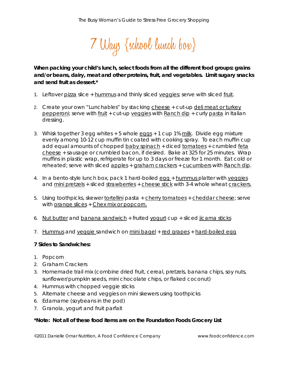7 Ways {school lunch box}

*When packing your child's lunch, select foods from all the different food groups: grains and/or beans, dairy, meat and other proteins, fruit, and vegetables. Limit sugary snacks and send fruit as dessert.\** 

- 1. Leftover pizza slice + hummus and thinly sliced veggies; serve with sliced fruit.
- 2. Create your own "Lunchables" by stacking cheese + cut-up deli meat or turkey pepperoni; serve with fruit + cut-up veggies with Ranch dip + curly pasta in Italian dressing.
- 3. Whisk together 3 egg whites + 5 whole eggs + 1 cup 1% milk. Divide egg mixture evenly among 10-12 cup muffin tin coated with cooking spray. To each muffin cup add equal amounts of chopped baby spinach + diced tomatoes + crumbled feta cheese + sausage or crumbled bacon, if desired. Bake at 325 for 25 minutes. Wrap muffins in plastic wrap, refrigerate for up to 3 days or freeze for 1 month. Eat cold or reheated; serve with sliced apples + graham crackers + cucumbers with Ranch dip.
- 4. In a bento-style lunch box, pack 1 hard-boiled egg + hummus platter with veggies and mini pretzels + sliced strawberries + cheese stick with 3-4 whole wheat crackers.
- 5. Using toothpicks, skewer tortellini pasta + cherry tomatoes + cheddar cheese; serve with <u>orange slices</u> + Chex mix or popcorn.
- 6. Nut butter and banana sandwich + fruited yogurt cup + sliced jicama sticks
- 7. Hummus and veggie sandwich on mini bagel + red grapes + hard-boiled egg

## **7 Sides to Sandwiches:**

- 1. Popcorn
- 2. Graham Crackers
- 3. Homemade trail mix (combine dried fruit, cereal, pretzels, banana chips, soy nuts, sunflower/pumpkin seeds, mini chocolate chips, or flaked coconut)
- 4. Hummus with chopped veggie sticks
- 5. Alternate cheese and veggies on mini skewers using toothpicks
- 6. Edamame (soybeans in the pod)
- 7. Granola, yogurt and fruit parfait

# *\*Note: Not all of these food items are on the Foundation Foods Grocery List*

©2011 Danielle Omar Nutrition, A Food Confidence Company www.foodconfidence.com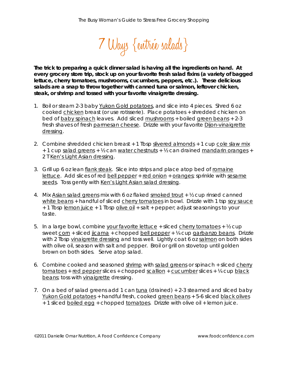

*The trick to preparing a quick dinner salad is having all the ingredients on hand. At every grocery store trip, stock up on your favorite fresh salad fixins (a variety of bagged lettuce, cherry tomatoes, mushrooms, cucumbers, peppers, etc.). These delicious salads are a snap to throw together with canned tuna or salmon, leftover chicken, steak, or shrimp and tossed with your favorite vinaigrette dressing.* 

- 1. Boil or steam 2-3 baby Yukon Gold potatoes, and slice into 4 pieces. Shred 6 oz cooked chicken breast (or use rotisserie). Place potatoes + shredded chicken on bed of baby spinach leaves. Add sliced mushrooms + boiled green beans + 2-3 fresh shaves of fresh parmesan cheese. Drizzle with your favorite Dijon-vinaigrette dressing.
- 2. Combine shredded chicken breast + 1 Tbsp slivered almonds + 1 cup cole slaw mix + 1 cup salad greens + ½ can water chestnuts + ½ can drained mandarin oranges + 2 T Ken's Light Asian dressing.
- 3. Grill up 6 oz lean flank steak. Slice into strips and place atop bed of romaine lettuce. Add slices of red bell pepper + red onion + oranges; sprinkle with sesame seeds. Toss gently with Ken's Light Asian salad dressing.
- 4. Mix Asian salad greens mix with 6 oz flaked smoked trout + ½ cup rinsed canned white beans + handful of sliced cherry tomatoes in bowl. Drizzle with 1 tsp soy sauce + 1 Tbsp lemon juice + 1 Tbsp olive oil + salt + pepper; adjust seasonings to your taste.
- 5. In a large bowl, combine your favorite lettuce  $+$  sliced cherry tomatoes  $+$   $\frac{1}{2}$  cup sweet corn + sliced jicama + chopped bell pepper + ¼ cup garbanzo beans. Drizzle with 2 Tbsp vinaigrette dressing and toss well. Lightly coat 6 oz salmon on both sides with olive oil, season with salt and pepper. Broil or grill on stovetop until golden brown on both sides. Serve atop salad.
- 6. Combine cooked and seasoned shrimp with salad greens or spinach + sliced cherry tomatoes + red pepper slices + chopped scallion + cucumber slices + ¼ cup black beans; toss with vinaigrette dressing.
- 7. On a bed of salad greens add 1 can tuna (drained) + 2-3 steamed and sliced baby Yukon Gold potatoes + handful fresh, cooked green beans + 5-6 sliced black olives + 1 sliced boiled egg + chopped tomatoes. Drizzle with olive oil + lemon juice.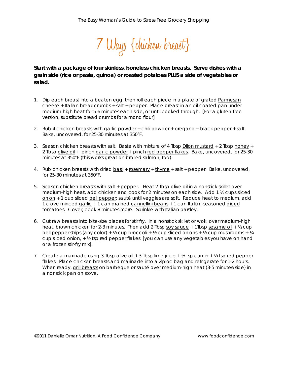

*Start with a package of four skinless, boneless chicken breasts. Serve dishes with a grain side (rice or pasta, quinoa) or roasted potatoes PLUS a side of vegetables or salad.* 

- *1.* Dip each breast into a beaten egg, then roll each piece in a plate of grated Parmesan cheese + Italian breadcrumbs + salt + pepper. Place breast in an oil-coated pan under medium-high heat for 5-6 minutes each side, or until cooked through. *[For a gluten-free version, substitute bread crumbs for almond flour]*
- 2. Rub 4 chicken breasts with garlic powder + chili powder + oregano + black pepper + salt. Bake, uncovered, for 25-30 minutes at 350°F.
- 3. Season chicken breasts with salt. Baste with mixture of 4 Tbsp Dijon mustard + 2 Tbsp honey + 2 Tbsp olive oil + pinch garlic powder + pinch red pepper flakes. Bake, uncovered, for 25-30 minutes at 350°F (this works great on broiled salmon, too).
- 4. Rub chicken breasts with dried basil + rosemary + thyme + salt + pepper. Bake, uncovered, for 25-30 minutes at 350°F.
- 5. Season chicken breasts with salt + pepper. Heat 2 Tbsp olive oil in a nonstick skillet over medium-high heat, add chicken and cook for 2 minutes on each side. Add 1 ½ cups sliced onion + 1 cup sliced bell pepper; sauté until veggies are soft. Reduce heat to medium, add 1 clove minced garlic + 1 can drained cannellini beans + 1 can Italian-seasoned diced tomatoes. Cover, cook 8 minutes more. Sprinkle with Italian parsley.
- 6. Cut raw breasts into bite-size pieces for stir fry. In a nonstick skillet or wok, over medium-high heat, brown chicken for 2-3 minutes. Then add 2 Tbsp soy sauce + 1Tbsp sesame oil +  $\frac{1}{2}$  cup bell pepper strips (any color) + ½ cup broccoli + ½ cup sliced onions + ½ cup mushrooms + ¼ cup sliced onion, + ½ tsp red pepper flakes *[you can use any vegetables you have on hand or a frozen stir-fry mix].*
- 7. Create a marinade using 3 Tbsp olive oil + 3 Tbsp lime juice +  $\frac{1}{2}$  tsp cumin +  $\frac{1}{2}$  tsp red pepper flakes. Place chicken breasts and marinade into a Ziploc bag and refrigerate for 1-2 hours. When ready, grill breasts on barbeque or sauté over medium-high heat (3-5 minutes/side) in a nonstick pan on stove.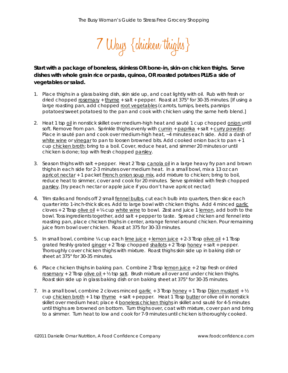

# *Start with a package of boneless, skinless OR bone-in, skin-on chicken thighs. Serve dishes with whole grain rice or pasta, quinoa, OR roasted potatoes PLUS a side of vegetables or salad.*

- *1.* Place thighs in a glass baking dish, skin side up, and coat lightly with oil. Rub with fresh or dried chopped rosemary + thyme + salt + pepper. Roast at 375° for 30-35 minutes*. [If using a large roasting pan, add chopped root vegetables (carrots, turnips, beets, parsnips potatoes/sweet potatoes) to the pan and cook with chicken using the same herb blend.]*
- 2. Heat 1 tsp oil in nonstick skillet over medium-high heat and sauté 1 cup chopped onion until soft. Remove from pan. Sprinkle thighs evenly with cumin + paprika + salt + curry powder. Place in sauté pan and cook over medium-high heat, ~4 minutes each side. Add a dash of white wine or vinegar to pan to loosen browned bits. Add cooked onion back to pan + 1 cup chicken broth; bring to a boil. Cover, reduce heat, and simmer 20 minutes or until chicken is done; top with fresh chopped parsley.
- *3.* Season thighs with salt + pepper. Heat 2 Tbsp canola oil in a large heavy fry pan and brown thighs in each side for 2-3 minutes over medium heat. In a small bowl, mix a 13 oz can apricot nectar + 1 packet French onion soup mix, add mixture to chicken; bring to boil, reduce heat to simmer, cover and cook for 20 minutes. Serve sprinkled with fresh chopped parsley. *[try peach nectar or apple juice if you don't have apricot nectar]*
- 4. Trim stalks and fronds off 2 small fennel bulbs, cut each bulb into quarters, then slice each quarter into 1-inch-thick slices. Add to large bowl with chicken thighs. Add 4 minced garlic cloves  $+$  2 Tbsp olive oil  $+$  1/4 cup white wine to bowl. Zest and juice 1 lemon, add both to the bowl. Toss ingredients together, add salt + pepper to taste. Spread chicken and fennel into roasting pan, place chicken thighs in center, arrange fennel around chicken. Pour remaining juice from bowl over chicken. Roast at 375 for 30-33 minutes.
- 5. In small bowl, combine  $\frac{1}{4}$  cup each lime juice + lemon juice + 2-3 Tbsp olive oil + 1 Tbsp grated freshly grated ginger + 2 Tbsp chopped shallots + 2 Tbsp honey + salt + pepper. Thoroughly cover chicken thighs with mixture. Roast thighs skin side up in baking dish or sheet at 375° for 30-35 minutes.
- 6. Place chicken thighs in baking pan. Combine 2 Tbsp  $l$  emon juice  $+2$  tsp fresh or dried rosemary + 2 Tbsp olive oil +  $\frac{1}{2}$  tsp salt. Brush mixture all over and under chicken thighs. Roast skin side up in glass baking dish or on baking sheet at 375° for 30-35 minutes.
- 7. In a small bowl, combine 2 cloves minced garlic  $+3$  Tbsp honey  $+1$  Tbsp Dijon mustard  $+ 1/2$ cup chicken broth + 1 tsp thyme + salt + pepper. Heat 1 Tbsp butter or olive oil in nonstick skillet over medium heat; place 4 boneless chicken thighs in skillet and sauté for 4-5 minutes until thighs are browned on bottom. Turn thighs over, coat with mixture, cover pan and bring to a simmer. Turn heat to low and cook for 7-9 minutes until chicken is thoroughly cooked.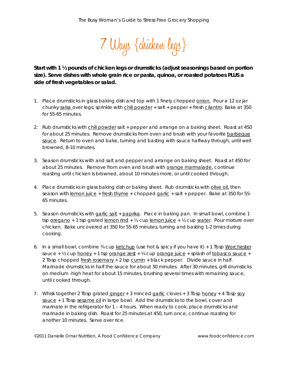

*Start with 1 ½ pounds of chicken legs or drumsticks (adjust seasonings based on portion size). Serve dishes with whole grain rice or pasta, quinoa, or roasted potatoes PLUS a side of fresh vegetables or salad.* 

- 1. Place drumsticks in glass baking dish and top with 1 finely chopped onion. Pour a 12 oz jar chunky salsa over legs; sprinkle with chili powder + salt + pepper + fresh cilantro. Bake at 350 for 55-65 minutes.
- 2. Rub drumsticks with chili powder salt + pepper and arrange on a baking sheet. Roast at 450 for about 25 minutes. Remove drumsticks from oven and brush with your favorite barbeque sauce. Return to oven and bake, turning and basting with sauce halfway through, until well browned, 8-10 minutes.
- 3. Season drumsticks with and salt and pepper and arrange on baking sheet. Roast at 450 for about 25 minutes. Remove from oven and brush with orange marmalade, continue roasting until chicken is browned, about 10 minutes more, or until cooked through.
- 4. Place drumsticks in glass baking dish or baking sheet. Rub drumsticks with olive oil, then season with <u>lemon juice</u> + fresh thyme + chopped garlic + salt + pepper. Bake at 350 for 55-65 minutes.
- 5. Season drumsticks with garlic salt + paprika. Place in baking pan. In small bowl, combine 1 tsp <u>oregano</u> + 1 tsp grated lemon rind + ¼ cup lemon juice + ½ cup water. Pour mixture over chicken. Bake uncovered at 350 for 55-65 minutes, turning and basting 1-2 times during cooking.
- 6. In a small bowl, combine ¾ cup ketchup (use hot & spicy if you have it) + 1 Tbsp Worchester sauce +  $\frac{1}{2}$  cup honey + 1 tsp orange zest +  $\frac{1}{4}$  cup orange juice + splash of tobasco sauce + 2 Tbsp chopped fresh rosemary + 2 tsp cumin + black pepper. Divide sauce in half. Marinade drumsticks in half the sauce for about 30 minutes. After 30 minutes, grill drumsticks on medium -high heat for about 15 minutes, brushing several times with remaining sauce, until cooked through.
- 7. Whisk together 2 Tbsp grated ginger + 3 minced garlic cloves + 3 Tbsp honey + 4 Tbsp soy sauce + 1 Tbsp sesame oil in large bowl. Add the drumsticks to the bowl, cover and marinate in the refrigerator for 1 – 4 hours. When ready to cook, place drumsticks and marinade in baking dish. Roast for 25 minutes at 450, turn once, continue roasting for another 10 minutes. Serve over rice.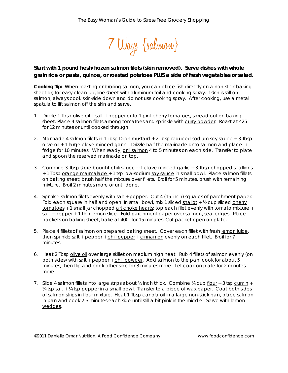

# *Start with 1 pound fresh/frozen salmon filets (skin removed). Serve dishes with whole grain rice or pasta, quinoa, or roasted potatoes PLUS a side of fresh vegetables or salad.*

*Cooking Tip: When roasting or broiling salmon, you can place fish directly on a non-stick baking sheet or, for easy clean-up, line sheet with aluminum foil and cooking spray. If skin is still on salmon, always cook skin-side down and do not use cooking spray. After cooking, use a metal spatula to lift salmon off the skin and serve.* 

- 1. Drizzle 1 Tbsp olive oil + salt + pepper onto 1 pint cherry tomatoes, spread out on baking sheet. Place 4 salmon filets among tomatoes and sprinkle with curry powder. Roast at 425 for 12 minutes or until cooked through.
- 2. Marinade 4 salmon filets in 1 Tbsp Dijon mustard + 2 Tbsp reduced sodium soy sauce + 3 Tbsp olive oil + 1 large clove minced garlic. Drizzle half the marinade onto salmon and place in fridge for 10 minutes. When ready, grill salmon 4 to 5 minutes on each side. Transfer to plate and spoon the reserved marinade on top.
- 3. Combine 3 Tbsp store bought chili sauce + 1 clove minced garlic + 3 Tbsp chopped scallions + 1 Tbsp orange marmalade + 1 tsp low-sodium soy sauce in small bowl. Place salmon fillets on baking sheet; brush half the mixture over fillets. Broil for 5 minutes, brush with remaining mixture. Broil 2 minutes more or until done.
- 4. Sprinkle salmon filets evenly with salt + pepper. Cut 4 (15-inch) squares of parchment paper. Fold each square in half and open. In small bowl, mix 1 sliced shallot  $+$  1/2 cup sliced cherry tomatoes + 1 small jar chopped artichoke hearts; top each filet evenly with tomato mixture + salt + pepper + 1 thin lemon slice. Fold parchment paper over salmon, seal edges. Place packets on baking sheet, bake at 400° for 15 minutes. Cut packet open on plate.
- 5. Place 4 fillets of salmon on prepared baking sheet. Cover each fillet with fresh lemon juice, then sprinkle salt + pepper + chili pepper + cinnamon evenly on each fillet. Broil for 7 minutes.
- 6. Heat 2 Tbsp olive oil over large skillet on medium high heat. Rub 4 fillets of salmon evenly (on both sides) with salt + pepper + chili powder. Add salmon to the pan, cook for about 5 minutes, then flip and cook other side for 3 minutes more. Let cook on plate for 2 minutes more.
- 7. Slice 4 salmon fillets into large strips about  $\frac{1}{2}$  inch thick. Combine  $\frac{1}{4}$  cup flour + 3 tsp cumin + ¼ tsp salt + ¼ tsp pepper in a small bowl. Transfer to a piece of wax paper. Coat both sides of salmon strips in flour mixture. Heat 1 Tbsp canola oil in a large non-stick pan, place salmon in pan and cook 2-3 minutes each side until still a bit pink in the middle. Serve with lemon wedges.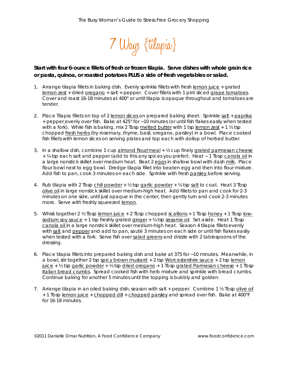

# *Start with four 6-ounce fillets of fresh or frozen tilapia. Serve dishes with whole grain rice or pasta, quinoa, or roasted potatoes PLUS a side of fresh vegetables or salad.*

- *1.* Arrange tilapia fillets in baking dish. Evenly sprinkle fillets with fresh lemon juice + grated lemon zest + dried oregano + salt + pepper. Cover fillets with 1 pint sliced grape tomatoes. Cover and roast 16-18 minutes at 400° or until tilapia is opaque throughout and tomatoes are tender.
- 2. Place Tilapia fillets on top of 2 lemon slices on prepared baking sheet. Sprinkle salt + paprika + pepper evenly over fish. Bake at 425° for ~10 minutes (or until fish flakes easily when tested with a fork). While fish is baking, mix 2 Tbsp melted butter with 1 tsp lemon zest  $+1$   $\frac{1}{2}$  tsp chopped fresh herbs (try rosemary, thyme, basil, oregano, parsley) in a bowl. Place cooked fish fillets with lemon slices on serving plates and top each with dollop of herbed butter.
- 3. In a shallow dish, combine 1 cup almond flour/meal  $+$   $\frac{1}{2}$  cup finely grated parmesan cheese + ¼ tsp each salt and pepper (add to this any spices you prefer). Heat ~ 1 Tbsp canola oil in a large nonstick skillet over medium heat. Beat 2 eggs in shallow bowl with dash milk. Place flour bowl next to egg bowl. Dredge tilapia fillet into beaten egg and then into flour mixture. Add fish to pan, cook 3 minutes on each side. Sprinkle with fresh parsley before serving.
- 4. Rub tilapia with 2 Tbsp chili powder + ½ tsp garlic powder + ¼ tsp salt to coat. Heat 3 Tbsp olive oil in large nonstick skillet over medium-high heat. Add fillets to pan and cook for 2-3 minutes on one side, until just opaque in the center, then gently turn and cook 2-3 minutes more. Serve with freshly squeezed lemon.
- 5. Whisk together 2 ½ Tbsp lemon juice + 2 Tbsp chopped scallions + 1 Tbsp honey + 1 Tbsp lowsodium soy sauce  $+1$  tsp freshly grated ginger  $+$   $\frac{1}{4}$  tsp sesame oil. Set aside. Heat 1 Tbsp canola oil in a large nonstick skillet over medium-high heat. Season 4 tilapia fillets evenly with salt and pepper and add to pan, sauté 3 minutes on each side or until fish flakes easily when tested with a fork. Serve fish over salad greens and drizzle with 2 tablespoons of the dressing.
- 6. Place tilapia fillets into prepared baking dish and bake at 375 for ~10 minutes. Meanwhile, in a bowl, stir together 2 tsp spicy brown mustard + 2 tsp Worcestershire sauce + 2 tsp lemon juice +  $\frac{1}{2}$  tsp garlic powder +  $\frac{1}{2}$  tsp dried oregano + 1 Tbsp grated Parmesan cheese + 1 Tbsp Italian bread crumbs. Spread cooked fish with herb mixture and sprinkle with bread crumbs. Continue baking for another 5 minutes until the topping is bubbly and golden.
- 7. Arrange tilapia in an oiled baking dish; season with salt + pepper. Combine 1 ½ Tbsp olive oil + 1 Tbsp lemon juice + chopped dill + chopped parsley and spread over fish. Bake at 400°F for 16-18 minutes.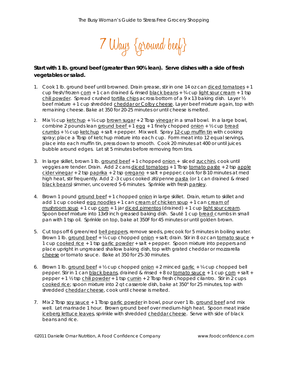

# *Start with 1 lb. ground beef (greater than 90% lean). Serve dishes with a side of fresh vegetables or salad.*

- 1. Cook 1 lb. ground beef until browned. Drain grease, stir in one 14 oz can diced tomatoes + 1 cup fresh/frozen corn + 1 can drained & rinsed black beans + 34 cup light sour cream + 1 tsp chili powder. Spread crushed tortilla chips across bottom of a 9 x 13 baking dish. Layer 1/2 beef mixture + 1 cup shredded cheddar or Colby cheese. Layer beef mixture again, top with remaining cheese. Bake at 350 for 20-25 minutes or until cheese is melted.
- 2. Mix  $\frac{1}{2}$  cup ketchup +  $\frac{1}{4}$  cup brown sugar + 2 Tbsp vinegar in a small bowl. In a large bowl, combine 2 pounds lean ground beef  $+1$  egg  $+1$  finely chopped onion  $+ 1/2$  cup bread  $c$ rumbs + ½ cup ketchup + salt + pepper. Mix well. Spray  $12$ -cup muffin tin with cooking spray; place a Tbsp of ketchup mixture into each cup. Form meat into 12 equal servings, place into each muffin tin, press down to smooth. Cook 20 minutes at 400 or until juices bubble around edges. Let sit 5 minutes before removing from tins.
- 3. In large skillet, brown 1 lb. ground beef + 1 chopped onion + sliced zucchini, cook until veggies are tender. Drain. Add 2 cans diced tomatoes + 1 Tbsp tomato paste + 2 tsp apple  $cider vinegar + 2 tsp paprika + 2 tsp oregano + salt + pepper; cook for 8-10 minutes at med$ high heat, stir frequently. Add 2 -3 cups cooked ziti/penne pasta (or 1 can drained & rinsed black beans) simmer, uncovered 5-6 minutes. Sprinkle with fresh parsley.
- 4. Brown 1 pound ground beef + 1 chopped onion in large skillet. Drain, return to skillet and add 1 cup cooked egg noodles + 1 can cream of chicken soup + 1 can cream of mushroom soup + 1 cup corn + 1 jar diced pimentos (drained) + 1 cup light sour cream. Spoon beef mixture into 13x9 inch greased baking dish. Sauté 1 cup bread crumbs in small pan with 1 tsp oil. Sprinkle on top, bake at 350F for 45 minutes or until golden brown.
- 5. Cut tops off 6 green/red bell peppers, remove seeds, precook for 5 minutes in boiling water. Brown 1 lb. ground beef + ¼ cup chopped onion + salt; drain. Stir in 8 oz can tomato sauce + 1 cup cooked rice + 1 tsp garlic powder + salt + pepper. Spoon mixture into peppers and place upright in ungreased shallow baking dish, top with grated cheddar or mozzarella cheese or tomato sauce. Bake at 350 for 25-30 minutes.
- 6. Brown 1 lb. ground beef  $+$   $\frac{1}{2}$  cup chopped onion  $+$  2 minced garlic  $+$   $\frac{1}{4}$  cup chopped bell pepper. Stir in 1 can black beans, drained & rinsed + 8 oz tomato sauce + 1 cup corn + salt + pepper + 1 ½ tsp chili powder + 1 tsp cumin + 2 Tbsp fresh chopped cilantro. Stir in 2 cups cooked rice; spoon mixture into 2 qt casserole dish, bake at 350° for 25 minutes, top with shredded cheddar cheese, cook until cheese is melted.
- 7. Mix 2 Tbsp soy sauce + 1 Tbsp garlic powder in bowl, pour over 1 lb. ground beef and mix well. Let marinade 1 hour. Brown ground beef over medium-high heat. Spoon meat inside iceberg lettuce leaves, sprinkle with shredded cheddar cheese. Serve with side of black beans and rice.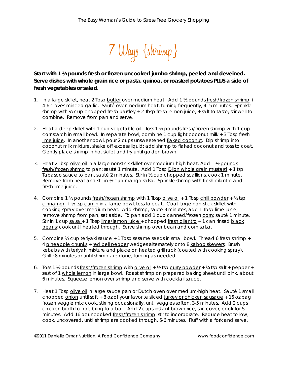

# *Start with 1 ½ pounds fresh or frozen uncooked jumbo shrimp, peeled and deveined. Serve dishes with whole grain rice or pasta, quinoa, or roasted potatoes PLUS a side of fresh vegetables or salad.*

- 1. In a large skillet, heat 2 Tbsp butter over medium heat. Add 1  $\frac{1}{2}$  pounds fresh/frozen shrimp + 4-6 cloves minced garlic. Sauté over medium heat, turning frequently, 4 -5 minutes. Sprinkle shrimp with  $\frac{1}{2}$  cup chopped fresh parsley + 2 Tbsp fresh lemon juice, + salt to taste; stir well to combine. Remove from pan and serve.
- 2. Heat a deep skillet with 1 cup vegetable oil. Toss 1 ½ pounds fresh/frozen shrimp with 1 cup cornstarch in small bowl. In separate bowl, combine 1 cup light coconut milk + 3 Tbsp fresh lime juice. In another bowl, pour 2 cups unsweetened flaked coconut. Dip shrimp into coconut milk mixture, shake off excess liquid; add shrimp to flaked coconut and toss to coat. Gently place shrimp in hot skillet and fry until golden brown.
- 3. Heat 2 Tbsp olive oil in a large nonstick skillet over medium-high heat. Add 1 ½ pounds fresh/frozen shrimp to pan; sauté 1 minute. Add 1 Tbsp Dijon whole grain mustard + 1 tsp Tabasco sauce to pan, sauté 2 minutes. Stir in ½ cup chopped scallions, cook 1 minute. Remove from heat and stir in 1/2 cup mango salsa. Sprinkle shrimp with fresh cilantro and fresh lime juice.
- 4. Combine 1 ½ pounds fresh/frozen shrimp with 1 Tbsp olive oil + 1 Tbsp chili powder + ½ tsp cinnamon  $+$   $\frac{1}{2}$  tsp cumin in a large bowl, toss to coat. Coat large non-stick skillet with cooking spray over medium heat. Add shrimp, sauté 3 minutes; add 1 Tbsp lime juice; remove shrimp from pan, set aside. To pan add 1 cup canned/frozen corn; sauté 1 minute. Stir in 1 cup salsa + 1 Tbsp lime/lemon juice + chopped fresh cilantro + 1 can rinsed black beans; cook until heated through. Serve shrimp over bean and corn salsa.
- 5. Combine ¼ cup teriyaki sauce + 1 Tbsp sesame seeds in small bowl. Thread 6 fresh shrimp + 4 pineapple chunks + red bell pepper wedges alternately onto 8 kabob skewers. Brush kebabs with teriyaki mixture and place on heated grill rack (coated with cooking spray). Grill ~8 minutes or until shrimp are done, turning as needed.
- 6. Toss 1  $\frac{1}{2}$  pounds fresh/frozen shrimp with olive oil +  $\frac{1}{2}$  tsp curry powder +  $\frac{1}{4}$  tsp salt + pepper + zest of 1 whole lemon in large bowl. Roast shrimp on prepared baking sheet until pink, about 6 minutes. Squeeze lemon over shrimp and serve with cocktail sauce.
- 7. Heat 1 Tbsp olive oil in large sauce pan or Dutch oven over medium-high heat. Sauté 1 small chopped onion until soft + 8 oz of your favorite sliced turkey or chicken sausage + 16 oz bag frozen veggie mix; cook, stirring occasionally, until veggies soften, 3-5 minutes. Add 2 cups chicken broth to pot, bring to a boil. Add 2 cups instant brown rice, stir, cover, cook for 5 minutes. Add 16 oz uncooked fresh/frozen shrimp, stir to incorporate. Reduce heat to low, cook, uncovered, until shrimp are cooked through, 5-6 minutes. Fluff with a fork and serve.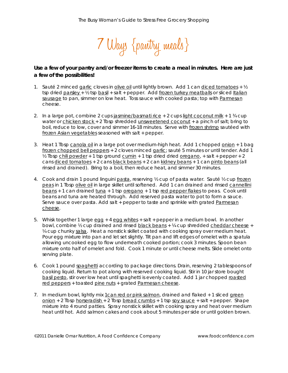7 Ways {pantry meals}

# *Use a few of your pantry and/or freezer items to create a meal in minutes. Here are just a few of the possibilities!*

- 1. Sauté 2 minced garlic cloves in olive oil until lightly brown. Add 1 can diced tomatoes +  $\frac{1}{2}$ tsp dried parsley + ½ tsp basil + salt + pepper. Add frozen turkey meatballs or sliced Italian sausage to pan, simmer on low heat. Toss sauce with cooked pasta; top with Parmesan cheese.
- 2. In a large pot, combine 2 cups jasmine/basmati rice  $+2$  cups light coconut milk  $+1\frac{3}{4}$  cup water or chicken stock + 2 Tbsp shredded unsweetened coconut + a pinch of salt; bring to boil, reduce to low, cover and simmer 16-18 minutes. Serve with frozen shrimp sautéed with frozen Asian vegetables seasoned with salt + pepper.
- 3. Heat 1 Tbsp canola oil in a large pot over medium-high heat. Add 1 chopped onion + 1 bag frozen chopped bell peppers + 2 cloves minced garlic; sauté 5 minutes or until tender. Add 1  $\frac{1}{2}$  Tbsp chili powder + 1 tsp ground cumin + 1 tsp dried dried oregano, + salt + pepper + 2 cans diced tomatoes + 2 cans black beans + 2 can kidney beans + 1 can pinto beans (all rinsed and drained). Bring to a boil, then reduce heat, and simmer 30 minutes.
- 4. Cook and drain 1 pound linguini pasta, reserving ½ cup of pasta water. Sauté ½ cup frozen peas in 1 Tbsp olive oil in large skillet until softened. Add 1 can drained and rinsed cannellini beans + 1 can drained tuna + 1 tsp oregano + 1 tsp red pepper flakes to peas. Cook until beans and tuna are heated through. Add reserved pasta water to pot to form a sauce. Serve sauce over pasta. Add salt + pepper to taste and sprinkle with grated Parmesan cheese.
- 5. Whisk together 1 large egg + 4 egg whites + salt + pepper in a medium bowl. In another bowl, combine ½ cup drained and rinsed black beans + ¼ cup shredded cheddar cheese + ¼ cup chunky salsa. Heat a nonstick skillet coated with cooking spray over medium heat. Pour egg mixture into pan and let set slightly. Tilt pan and lift edges of omelet with a spatula allowing uncooked egg to flow underneath cooked portion; cook 3 minutes. Spoon bean mixture onto half of omelet and fold. Cook 1 minute or until cheese melts. Slide omelet onto serving plate.
- 6. Cook 1 pound spaghetti according to package directions. Drain, reserving 2 tablespoons of cooking liquid. Return to pot along with reserved cooking liquid. Stir in 10 jar store bought basil pesto, stir over low heat until spaghetti is evenly coated. Add 1 jar chopped roasted red peppers + toasted pine nuts + grated Parmesan cheese.
- 7. In medium bowl, lightly mix 1can red or pink salmon, drained and flaked + 1 sliced green  $\frac{\text{onion}}{\text{+}}$  2 Tbsp horseradish + 2 Tbsp bread crumbs + 1 tsp soy sauce + salt + pepper. Shape mixture into 4 round patties. Spray nonstick skillet with cooking spray and heat over medium heat until hot. Add salmon cakes and cook about 5 minutes per side or until golden brown.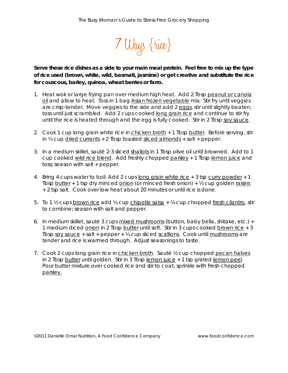

*Serve these rice dishes as a side to your main meal protein. Feel free to mix up the type of rice used (brown, white, wild, basmati, jasmine) or get creative and substitute the rice for couscous, barley, quinoa, wheat berries or farro.* 

- 1. Heat wok or large frying pan over medium high heat. Add 2 Tbsp peanut or canola oil and allow to heat. Toss in 1 bag Asian frozen vegetable mix. Stir fry until veggies are crisp-tender. Move veggies to the side and add 2 eggs, stir until slightly beaten; toss until just scrambled. Add 2 cups cooked long grain rice and continue to stir fry until the rice is heated through and the egg is fully cooked. Stir in 2 Tbsp soy sauce.
- 2. Cook 1 cup long grain white rice in chicken broth + 1 Tbsp butter. Before serving, stir in  $\frac{1}{4}$  cup dried currants + 2 Tbsp toasted sliced almonds + salt + pepper.
- 3. In a medium skillet, sauté 2-3 sliced shallots in 1 Tbsp olive oil until browned. Add to 1 cup cooked wild rice blend. Add freshly chopped parsley + 1 Tbsp lemon juice and toss; season with salt + pepper.
- 4. Bring 4 cups water to boil. Add 2 cups long grain white [rice](http://www.recipestogo.com/rice/pasta72.html) + 3 tsp curry powder + 1 Tbsp [butter](http://www.recipestogo.com/rice/pasta72.html)  $+1$  tsp dry minced [onion](http://www.recipestogo.com/rice/pasta72.html) (or minced [fresh](http://www.recipestogo.com/rice/pasta72.html) onion)  $+$   $\frac{1}{2}$  cup golden raisins + 2 tsp salt. Cook over low heat about 20 minutes or until rice is done.
- 5. To 1 ½ cups brown rice add ½ cup chipotle salsa + ¼ cup chopped fresh cilantro, stir to combine; season with salt and pepper.
- 6. In medium skillet, sauté 3 cups mixed mushrooms (button, baby bella, shitake, etc.) + 1 medium diced onion in 2 Tbsp butter until soft. Stir in 3 cups cooked brown rice + 3 Tbsp soy sauce + salt + pepper +  $\frac{1}{2}$  cup sliced scallions. Cook until mushrooms are tender and rice is warmed through. Adjust seasonings to taste.
- 7. Cook 2 cups long grain rice in chicken broth. Sauté ½ cup chopped pecan halves in 2 Tbsp butter until golden. Stir in 3 Tbsp lemon juice + 1 tsp grated lemon peel. Pour butter mixture over cooked rice and stir to coat; sprinkle with fresh chopped parsley.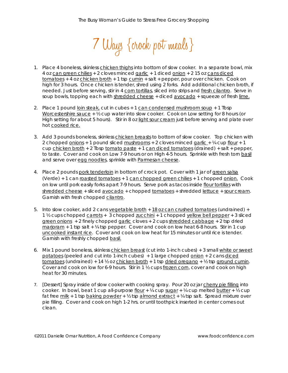7 Ways {crock pot meals}

- 1. Place 4 boneless, skinless chicken thighs into bottom of slow cooker. In a separate bowl, mix 4 oz can green chilies + 2 cloves minced garlic + 1 diced onion + 2 15 oz cans diced tomatoes + 4 oz chicken broth + 1 tsp cumin + salt + pepper, pour over chicken. Cook on high for 3 hours. Once chicken is tender, shred using 2 forks. Add additional chicken broth, if needed. Just before serving, stir in 4 corn tortillas, sliced into strips and fresh cilantro. Serve in soup bowls, topping each with shredded cheese + diced avocado + squeeze of fresh lime.
- 2. Place 1 pound loin steak, cut in cubes + 1 can condensed mushroom soup + 1 Tbsp Worcestershire sauce + ½ cup water into slow cooker. Cook on Low setting for 8 hours (or High setting for about 5 hours). Stir in 8 oz light sour cream just before serving and plate over hot cooked rice.
- 3. Add 3 pounds boneless, skinless chicken breasts to bottom of slow cooker. Top chicken with 2 chopped onions + 1 pound sliced mushrooms + 2 cloves minced garlic + ¼ cup flour + 1 cup chicken broth + 2 Tbsp tomato paste + 1 can diced tomatoes (drained) + salt + pepper, to taste. Cover and cook on Low 7-9 hours or on High 4-5 hours. Sprinkle with fresh torn basil and serve over egg noodles, sprinkle with Parmesan cheese.
- 4. Place 2 pounds pork tenderloin in bottom of crock pot. Cover with 1 jar of green salsa (Verde) + 1 can roasted tomatoes + 1 can chopped green chilies + 1 chopped onion. Cook on low until pork easily forks apart 7-9 hours. Serve pork as tacos inside flour tortillas with shredded cheese + sliced avocado + chopped tomatoes + shredded lettuce + sour cream. Garnish with fresh chopped cilantro.
- 5. Into slow cooker, add 2 cans vegetable broth + 18 oz can crushed tomatoes (undrained) + 1 ½ cups chopped carrots + 3 chopped zucchini + 1 chopped yellow bell pepper + 3 sliced  $green onions + 2$  finely chopped garlic cloves + 2 cups shredded cabbage + 2 tsp dried marjoram  $+1$  tsp salt  $+$  ¼ tsp pepper. Cover and cook on low heat 6-8 hours. Stir in 1 cup uncooked instant rice. Cover and cook on low heat for 15 minutes or until rice is tender. Garnish with freshly chopped basil.
- 6. Mix 1 pound boneless, skinless chicken breast (cut into 1-inch cubes) + 3 small white or sweet potatoes (peeled and cut into 1-inch cubes) + 1 large chopped onion + 2 cans diced tomatoes (undrained) + 14 <sup>y</sup> oz chicken broth + 1 tsp dried oregano + <sup>y</sup> tsp ground cumin. Cover and cook on low for 6-9 hours. Stir in 1 ½ cups frozen corn, cover and cook on high heat for 30 minutes.
- 7. [Dessert] Spray inside of slow cooker with cooking spray. Pour 20 oz jar cherry pie filling into cooker. In bowl, beat 1 cup all-purpose flour +  $\frac{1}{4}$  cup sugar +  $\frac{1}{4}$  cup melted butter +  $\frac{1}{2}$  cup fat free  $m$ ilk + 1 tsp baking powder + ½ tsp almond extract + ¼ tsp salt. Spread mixture over pie filling. Cover and cook on high 1-2 hrs. or until toothpick inserted in center comes out clean.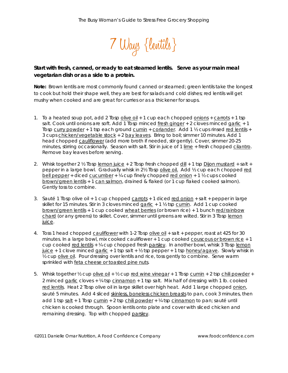

# *Start with fresh, canned, or ready to eat steamed lentils. Serve as your main meal vegetarian dish or as a side to a protein.*

*Note: Brown lentils are most commonly found canned or steamed; green lentils take the longest to cook but hold their shape well, they are best for salads and cold dishes; red lentils will get mushy when cooked and are great for curries or as a thickener for soups.* 

- 1. To a heated soup pot, add 2 Tbsp olive oil + 1 cup each chopped onions + carrots + 1 tsp salt. Cook until onions are soft. Add 1 Tbsp minced fresh ginger + 2 cloves minced garlic + 1 Tbsp curry powder + 1 tsp each ground cumin + coriander. Add 1 ½ cups rinsed red lentils + 3 cups chicken/vegetable stock + 2 bay leaves. Bring to boil; simmer 10 minutes. Add 1 head chopped cauliflower (add more broth if needed, stir gently). Cover, simmer 20-25 minutes, stirring occasionally. Season with salt. Stir in juice of 1 lime + fresh chopped cilantro. Remove bay leaves before serving.
- 2. Whisk together 2  $\frac{1}{2}$  Tbsp lemon juice + 2 Tbsp fresh chopped dill + 1 tsp Dijon mustard + salt + pepper in a large bowl. Gradually whisk in 2½ Tbsp olive oil. Add ½ cup each chopped red bell pepper + diced cucumber +  $\frac{1}{4}$  cup finely chopped red onion + 1  $\frac{1}{2}$  cups cooked brown/green lentils + 1 can salmon, drained & flaked (or 1 cup flaked cooked salmon). Gently toss to combine.
- 3. Sauté 1 Tbsp olive oil + 1 cup chopped  $carrow s + 1$  diced red onion + salt + pepper in large skillet for 15 minutes. Stir in 3 cloves minced garlic + 1 ½ tsp cumin. Add 1 cup cooked brown/green lentils + 1 cup cooked wheat berries (or brown rice) + 1 bunch red/rainbow chard (or any greens) to skillet. Cover, simmer until greens are wilted. Stir in 3 Tbsp lemon juice.
- 4. Toss 1 head chopped cauliflower with 1-2 Tbsp olive oil + salt + pepper, roast at 425 for 30 minutes. In a large bowl, mix cooked cauliflower + 1 cup cooked couscous or brown rice + 1 cup cooked red lentils + ¼ cup chopped fresh parsley. In another bowl, whisk 3 Tbsp lemon  $juice + 1$  clove minced garlic + 1 tsp salt +  $\frac{1}{2}$  tsp pepper + 1 tsp honey/agave. Slowly whisk in ½ cup olive oil. Pour dressing over lentils and rice, toss gently to combine. Serve warm sprinkled with feta cheese or toasted pine nuts.
- 5. Whisk together  $\frac{1}{2}$  cup <u>olive oil</u> +  $\frac{1}{2}$  cup red wine vinegar + 1 Tbsp cumin + 2 tsp chili powder + 2 minced garlic cloves  $+ 4$  tsp cinnamon  $+ 1$  tsp salt. Mix half of dressing with 1 lb. cooked red lentils. Heat 2 Tbsp olive oil in large skillet over high heat. Add 1 large chopped onion, sauté 5 minutes. Add 4 sliced skinless, boneless chicken breasts to pan, cook 3 minutes, then add 1 tsp salt + 1 Tbsp cumin + 2 tsp chili powder + ¼ tsp cinnamon to pan; sauté until chicken is cooked through. Spoon lentils onto plate and cover with sliced chicken and remaining dressing. Top with chopped parsley.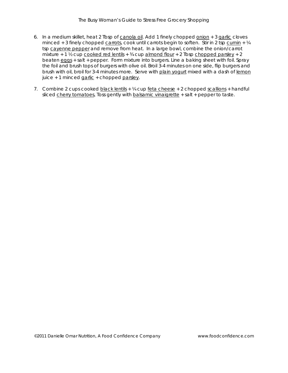- 6. In a medium skillet, heat 2 Tbsp of canola oil. Add 1 finely chopped onion + 3 garlic cloves minced + 3 finely chopped carrots, cook until carrots begin to soften. Stir in 2 tsp cumin +  $\frac{1}{4}$ tsp cayenne pepper and remove from heat. In a large bowl, combine the onion/carrot mixture + 1  $\frac{1}{2}$  cup cooked red lentils +  $\frac{3}{4}$  cup almond flour + 2 Tbsp chopped parsley + 2 beaten eggs + salt + pepper. Form mixture into burgers. Line a baking sheet with foil. Spray the foil and brush tops of burgers with olive oil. Broil 3-4 minutes on one side, flip burgers and brush with oil, broil for 3-4 minutes more. Serve with plain yogurt mixed with a dash of lemon juice + 1 minced  $\frac{q}{q}$  - chopped parsley.
- 7. Combine 2 cups cooked black lentils  $+ 4$  cup feta cheese  $+ 2$  chopped scallions  $+$  handful sliced cherry tomatoes, Toss gently with balsamic vinaigrette + salt + pepper to taste.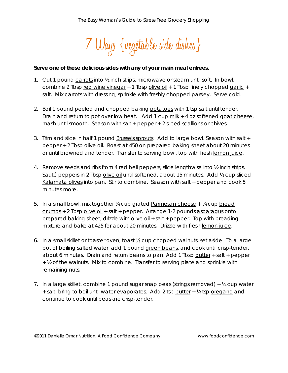7 Ways {vegetable side dishes}

#### *Serve one of these delicious sides with any of your main meal entrees.*

- 1. Cut 1 pound carrots into 1/2 inch strips, microwave or steam until soft. In bowl, combine 2 Tbsp red wine vinegar  $+1$  Tbsp olive oil  $+1$  Tbsp finely chopped garlic  $+$ salt. Mix carrots with dressing, sprinkle with freshly chopped parsley. Serve cold.
- 2. Boil 1 pound peeled and chopped baking potatoes with 1 tsp salt until tender. Drain and return to pot over low heat. Add 1 cup milk + 4 oz softened goat cheese, mash until smooth. Season with salt + pepper + 2 sliced scallions or chives.
- 3. Trim and slice in half 1 pound Brussels sprouts. Add to large bowl. Season with salt + pepper + 2 Tbsp olive oil. Roast at 450 on prepared baking sheet about 20 minutes or until browned and tender. Transfer to serving bowl, top with fresh lemon juice.
- 4. Remove seeds and ribs from 4 red bell peppers; slice lengthwise into  $\frac{1}{2}$  inch strips. Sauté peppers in 2 Tbsp olive oil until softened, about 15 minutes. Add ½ cup sliced Kalamata olives into pan. Stir to combine. Season with salt + pepper and cook 5 minutes more.
- 5. In a small bowl, mix together  $\frac{1}{4}$  cup grated Parmesan cheese +  $\frac{1}{4}$  cup bread crumbs + 2 Tbsp olive oil + salt + pepper. Arrange 1-2 pounds asparagus onto prepared baking sheet, drizzle with olive oil + salt + pepper. Top with breading mixture and bake at 425 for about 20 minutes. Drizzle with fresh lemon juice.
- 6. In a small skillet or toaster oven, toast ⅓ cup chopped walnuts, set aside. To a large pot of boiling salted water, add 1 pound green beans, and cook until crisp-tender, about 6 minutes. Drain and return beans to pan. Add 1 Tbsp butter + salt + pepper + ½ of the walnuts. Mix to combine. Transfer to serving plate and sprinkle with remaining nuts.
- 7. In a large skillet, combine 1 pound sugar snap peas (strings removed)  $+$  <sup>1</sup>/4 cup water + salt, bring to boil until water evaporates. Add 2 tsp butter + ¼ tsp oregano and continue to cook until peas are crisp-tender.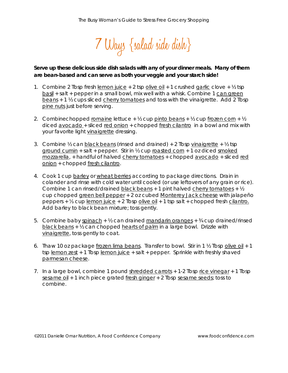

# *Serve up these delicious side dish salads with any of your dinner meals. Many of them are bean-based and can serve as both your veggie and your starch side!*

- 1. Combine 2 Tbsp fresh lemon juice  $+2$  tsp olive oil  $+1$  crushed garlic clove  $+$  1/2 tsp basil + salt + pepper in a small bowl, mix well with a whisk. Combine 1 can green beans + 1 ½ cups sliced cherry tomatoes and toss with the vinaigrette. Add 2 Tbsp pine nuts just before serving.
- 2. Combinechopped romaine lettuce +  $\frac{1}{2}$  cup pinto beans +  $\frac{1}{2}$  cup frozen corn +  $\frac{1}{2}$ diced avocado + sliced red onion + chopped fresh cilantro in a bowl and mix with your favorite light vinaigrette dressing.
- 3. Combine  $\frac{1}{2}$  can black beans (rinsed and drained) + 2 Tbsp vinaigrette +  $\frac{1}{2}$  tsp ground cumin + salt + pepper. Stir in  $\frac{1}{2}$  cup roasted corn + 1 oz diced smoked mozzarella, + handful of halved cherry tomatoes + chopped avocado + sliced red onion + chopped fresh cilantro.
- 4. Cook 1 cup barley or wheat berries according to package directions. Drain in colander and rinse with cold water until cooled (or use leftovers of any grain or rice). Combine 1 can rinsed/drained black beans + 1 pint halved cherry tomatoes + 1/2 cup chopped green bell pepper + 2 oz cubed Monterey Jack cheese with jalapeño peppers + ¼ cup lemon juice + 2 Tbsp olive oil + 1 tsp salt + chopped fresh cilantro. Add barley to black bean mixture; toss gently.
- 5. Combine baby spinach +  $\frac{1}{2}$  can drained mandarin oranges +  $\frac{3}{4}$  cup drained/rinsed black beans + ½ can chopped hearts of palm in a large bowl. Drizzle with vinaigrette, toss gently to coat.
- 6. Thaw 10 oz package frozen lima beans. Transfer to bowl. Stir in 1 ½ Tbsp olive oil + 1 tsp lemon zest + 1 Tbsp lemon juice + salt + pepper. Sprinkle with freshly shaved parmesan cheese.
- 7. In a large bowl, combine 1 pound shredded carrots + 1-2 Tbsp rice vinegar + 1 Tbsp sesame oil + 1 inch piece grated fresh ginger + 2 Tbsp sesame seeds; toss to combine.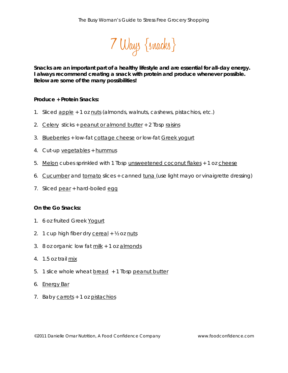

*Snacks are an important part of a healthy lifestyle and are essential for all-day energy. I always recommend creating a snack with protein and produce whenever possible. Below are some of the many possibilities!*

## **Produce + Protein Snacks:**

- 1. Sliced apple + 1 oz nuts (almonds, walnuts, cashews, pistachios, etc.)
- 2. Celery sticks + peanut or almond butter + 2 Tbsp raisins
- 3. Blueberries + low-fat cottage cheese or low-fat Greek yogurt
- 4. Cut-up vegetables + hummus
- 5. Melon cubes sprinkled with 1 Tbsp unsweetened coconut flakes + 1 oz cheese
- 6. Cucumber and tomato slices + canned tuna (use light mayo or vinaigrette dressing)
- 7. Sliced pear + hard-boiled egg

#### **On the Go Snacks:**

- 1. 6 oz fruited Greek Yogurt
- 2. 1 cup high fiber dry cereal  $+$   $\frac{1}{2}$  oz nuts
- 3. 8 oz organic low fat milk + 1 oz almonds
- 4. 1.5 oz trail mix
- 5. 1 slice whole wheat bread + 1 Tbsp peanut butter
- 6. Energy Bar
- 7. Baby carrots + 1 oz pistachios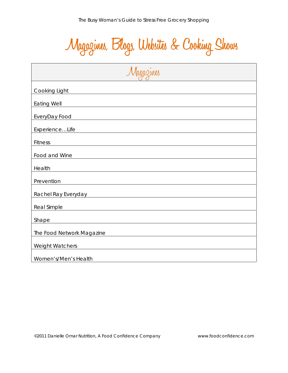**Magazines, Blogs, Websites & Cooking Shows**

| Magazines                                                                                                               |  |
|-------------------------------------------------------------------------------------------------------------------------|--|
| Cooking Light                                                                                                           |  |
| Eating Well <b>Example 2008</b> 2014 2015 2022 2023 2024 2022 2023 2024 2022 2023 2024 2022 2023 2024 2025 2026 2027 20 |  |
| EveryDay Food <b>EveryDay</b> Food                                                                                      |  |
| ExperienceLife<br><u> 1989 - Andrea Albert III, martin a bh</u>                                                         |  |
| <b>Fitness</b>                                                                                                          |  |
| Food and Wine                                                                                                           |  |
| Health<br><u> 1989 - Johann Stein, fransk politik (f. 1989)</u>                                                         |  |
| Prevention                                                                                                              |  |
| Rachel Ray Everyday Management and Contact the Contract of the Contract of the Contract of the Contract of the          |  |
| Real Simple<br><u> 1980 - Johann Barn, fransk politik (f. 1980)</u>                                                     |  |
| Shape<br><u> 1980 - Johann John Stein, fransk politik (f. 1980)</u>                                                     |  |
| The Food Network Magazine                                                                                               |  |
| <b>Weight Watchers</b>                                                                                                  |  |
| Women's/Men's Health                                                                                                    |  |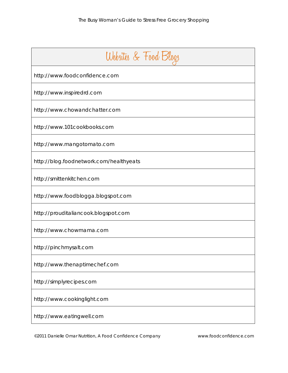| Websites & Food Blogs                   |
|-----------------------------------------|
| http://www.foodconfidence.com           |
| http://www.inspiredrd.com               |
| http://www.chowandchatter.com           |
| http://www.101cookbooks.com             |
| http://www.mangotomato.com              |
| http://blog.foodnetwork.com/healthyeats |
| http://smittenkitchen.com               |
| http://www.foodblogga.blogspot.com      |
| http://prouditaliancook.blogspot.com    |
| http://www.chowmama.com                 |
| http://pinchmysalt.com                  |
| http://www.thenaptimechef.com           |
| http://simplyrecipes.com                |
| http://www.cookinglight.com             |
| http://www.eatingwell.com               |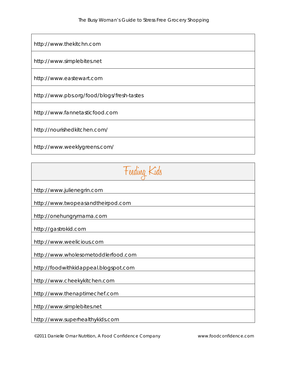[http://www.thekitchn.com](http://www.thekitchn.com/)

[http://www.simplebites.net](http://www.simplebites.net/)

http://www.eastewart.com

<http://www.pbs.org/food/blogs/fresh-tastes>

[http://www.fannetasticfood.com](http://www.fannetasticfood.com/)

<http://nourishedkitchen.com/>

<http://www.weeklygreens.com/>

| Feeding Kids                          |
|---------------------------------------|
| http://www.julienegrin.com            |
| http://www.twopeasandtheirpod.com     |
| http://onehungrymama.com              |
| http://gastrokid.com                  |
| http://www.weelicious.com             |
| http://www.wholesometoddlerfood.com   |
| http://foodwithkidappeal.blogspot.com |
| http://www.cheekykitchen.com          |
| http://www.thenaptimechef.com         |
| http://www.simplebites.net            |
| http://www.superhealthykids.com       |

©2011 Danielle Omar Nutrition, A Food Confidence Company www.foodconfidence.com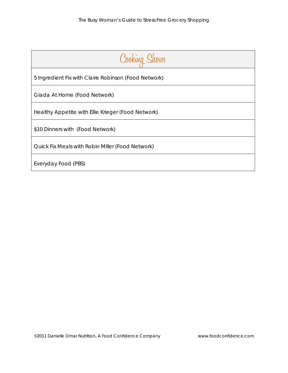| Cooking Shows                                        |  |
|------------------------------------------------------|--|
| 5 Ingredient Fix with Claire Robinson (Food Network) |  |
| Giada At Home (Food Network)                         |  |
| Healthy Appetite with Ellie Krieger (Food Network)   |  |
| \$10 Dinners with (Food Network)                     |  |
| Quick Fix Meals with Robin Miller (Food Network)     |  |
| Everyday Food (PBS)                                  |  |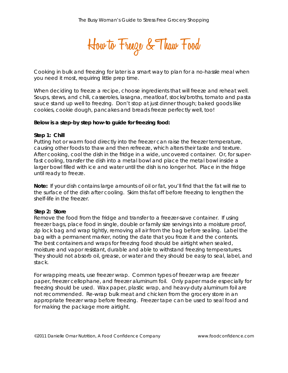**How to Freeze &Thaw Food**

Cooking in bulk and freezing for later is a smart way to plan for a no-hassle meal when you need it most, requiring little prep time.

When deciding to freeze a recipe, choose ingredients that will freeze and reheat well. Soups, stews, and chili, casseroles, lasagna, meatloaf, stocks/broths, tomato and pasta sauce stand up well to freezing. Don't stop at just dinner though; baked goods like cookies, cookie dough, pancakes and breads freeze perfectly well, too!

#### **Below is a step-by step how-to guide for freezing food:**

#### **Step 1: Chill**

Putting hot or warm food directly into the freezer can raise the freezer temperature, causing other foods to thaw and then refreeze, which alters their taste and texture. After cooking, cool the dish in the fridge in a wide, uncovered container. Or, for superfast cooling, transfer the dish into a metal bowl and place the metal bowl inside a larger bowl filled with ice and water until the dish is no longer hot. Place in the fridge until ready to freeze.

*Note: If your dish contains large amounts of oil or fat, you'll find that the fat will rise to the surface of the dish after cooling. Skim this fat off before freezing to lengthen the shelf-life in the freezer.*

#### **Step 2: Store**

Remove the food from the fridge and transfer to a freezer-save container. If using freezer bags, place food in single, double or family size servings into a moisture proof, zip lock bag and wrap tightly, removing all air from the bag before sealing. Label the bag with a permanent marker, noting the date that you froze it and the contents. The best containers and wraps for freezing food should be airtight when sealed, moisture and vapor resistant, durable and able to withstand freezing temperatures. They should not absorb oil, grease, or water and they should be easy to seal, label, and stack.

For wrapping meats, use freezer wrap. Common types of freezer wrap are freezer paper, freezer cellophane, and freezer aluminum foil. Only paper made especially for freezing should be used. Wax paper, plastic wrap, and heavy-duty aluminum foil are not recommended. Re-wrap bulk meat and chicken from the grocery store in an appropriate freezer wrap before freezing. Freezer tape can be used to seal food and for making the package more airtight.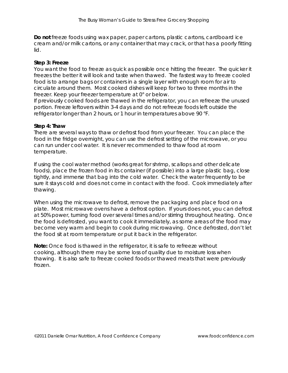**Do not** freeze foods using wax paper, paper cartons, plastic cartons, cardboard ice cream and/or milk cartons, or any container that may crack, or that has a poorly fitting lid.

## **Step 3: Freeze**

You want the food to freeze as quick as possible once hitting the freezer. The quicker it freezes the better it will look and taste when thawed. The fastest way to freeze cooled food is to arrange bags or containers in a single layer with enough room for air to circulate around them. Most cooked dishes will keep for two to three months in the freezer. Keep your freezer temperature at 0° or below.

If previously cooked foods are thawed in the refrigerator, you can refreeze the unused portion. Freeze leftovers within 3-4 days and do not refreeze foods left outside the refrigerator longer than 2 hours, or 1 hour in temperatures above 90 °F.

#### **Step 4: Thaw**

There are several ways to thaw or defrost food from your freezer. You can place the food in the fridge overnight, you can use the defrost setting of the microwave, or you can run under cool water. It is never recommended to thaw food at room temperature.

If using the cool water method (works great for shrimp, scallops and other delicate foods), place the frozen food in its container (if possible) into a large plastic bag, close tightly, and immerse that bag into the cold water. Check the water frequently to be sure it stays cold and does not come in contact with the food. Cook immediately after thawing.

When using the microwave to defrost, remove the packaging and place food on a plate. Most microwave ovens have a defrost option. If yours does not, you can defrost at 50% power, turning food over several times and/or stirring throughout heating. Once the food is defrosted, you want to cook it immediately, as some areas of the food may become very warm and begin to cook during microwaving. Once defrosted, don't let the food sit at room temperature or put it back in the refrigerator.

*Note: Once food is thawed in the refrigerator, it is safe to refreeze without cooking, although there may be some loss of quality due to moisture loss when thawing. It is also safe to freeze cooked foods or thawed meats that were previously frozen.*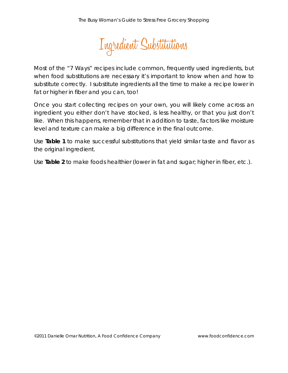

Most of the "7 Ways" recipes include common, frequently used ingredients, but when food substitutions are necessary it's important to know when and how to substitute correctly. I substitute ingredients all the time to make a recipe lower in fat or higher in fiber and you can, too!

Once you start collecting recipes on your own, you will likely come across an ingredient you either don't have stocked, is less healthy, or that you just don't like. When this happens, remember that in addition to taste, factors like moisture level and texture can make a big difference in the final outcome.

Use **Table 1** to make successful substitutions that yield similar taste and flavor as the original ingredient.

Use **Table 2** to make foods healthier (lower in fat and sugar; higher in fiber, etc.).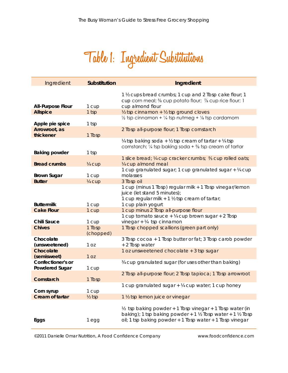

| Ingredient                          | <b>Substitution</b> | Ingredient                                                                                                                                                                                                          |
|-------------------------------------|---------------------|---------------------------------------------------------------------------------------------------------------------------------------------------------------------------------------------------------------------|
| <b>All-Purpose Flour</b>            | 1 cup               | 1 1/2 cups bread crumbs; 1 cup and 2 Tbsp cake flour; 1<br>cup corn meal; % cup potato flour; % cup rice flour; 1<br>cup almond flour                                                                               |
| <b>Allspice</b>                     | 1 tsp               | 1/2 tsp cinnamon + 1/2 tsp ground cloves                                                                                                                                                                            |
| Apple pie spice                     | 1 tsp               | $\frac{1}{2}$ tsp cinnamon + $\frac{1}{4}$ tsp nutmeg + $\frac{1}{8}$ tsp cardamom                                                                                                                                  |
| Arrowroot, as<br>thickener          | 1 Tbsp              | 2 Tbsp all-purpose flour; 1 Tbsp cornstarch                                                                                                                                                                         |
| <b>Baking powder</b>                | 1 tsp               | $\frac{1}{4}$ tsp baking soda + $\frac{1}{2}$ tsp cream of tartar + $\frac{1}{4}$ tsp<br>cornstarch; $\frac{1}{4}$ tsp baking soda + $\frac{5}{8}$ tsp cream of tartar                                              |
|                                     |                     | 1 slice bread; ¼ cup cracker crumbs; % cup rolled oats;                                                                                                                                                             |
| <b>Bread crumbs</b>                 | 1/4 cup             | 1/4 cup almond meal                                                                                                                                                                                                 |
| <b>Brown Sugar</b>                  | 1 cup               | 1 cup granulated sugar; 1 cup granulated sugar + 1/4 cup<br>molasses                                                                                                                                                |
| <b>Butter</b>                       | 1/4 cup             | 3 Tbsp oil                                                                                                                                                                                                          |
|                                     |                     | 1 cup (minus 1 Tbsp) regular milk + 1 Tbsp vinegar/lemon<br>juice (let stand 5 minutes);<br>1 cup regular milk + 1 1/2 tsp cream of tartar;                                                                         |
| <b>Buttermilk</b>                   | 1 cup               | 1 cup plain yogurt                                                                                                                                                                                                  |
| <b>Cake Flour</b>                   | 1 cup               | 1 cup minus 2 Tbsp all-purpose flour                                                                                                                                                                                |
| <b>Chili Sauce</b>                  | 1 cup               | 1 cup tomato sauce + ¼ cup brown sugar + 2 Tbsp<br>vinegar + $\frac{1}{4}$ tsp cinnamon                                                                                                                             |
| <b>Chives</b>                       | 1 Tbsp<br>(chopped) | 1 Tbsp chopped scallions (green part only)                                                                                                                                                                          |
| Chocolate<br>(unsweetened)          | 1 <sub>oz</sub>     | 3 Tbsp cocoa + 1 Tbsp butter or fat; 3 Tbsp carob powder<br>+ 2 Tbsp water                                                                                                                                          |
| <b>Chocolate</b><br>(semisweet)     | 1 <sub>OZ</sub>     | 1 oz unsweetened chocolate + 3 tsp sugar                                                                                                                                                                            |
| Confectioner's or<br>Powdered Sugar | 1 cup               | 34 cup granulated sugar (for uses other than baking)                                                                                                                                                                |
| Cornstarch                          | 1 Tbsp              | 2 Tbsp all-purpose flour; 2 Tbsp tapioca; 1 Tbsp arrowroot                                                                                                                                                          |
| Corn syrup                          | 1 cup               | 1 cup granulated sugar + 1/4 cup water; 1 cup honey                                                                                                                                                                 |
| <b>Cream of tartar</b>              | $\frac{1}{2}$ tsp   | 1 1/2 tsp lemon juice or vinegar                                                                                                                                                                                    |
| Eggs                                | 1 egg               | $\frac{1}{2}$ tsp baking powder + 1 Tbsp vinegar + 1 Tbsp water (in<br>baking); 1 tsp baking powder + 1 $\frac{1}{2}$ Tbsp water + 1 $\frac{1}{2}$ Tbsp<br>oil; 1 tsp baking powder + 1 Tbsp water + 1 Tbsp vinegar |

©2011 Danielle Omar Nutrition, A Food Confidence Company www.foodconfidence.com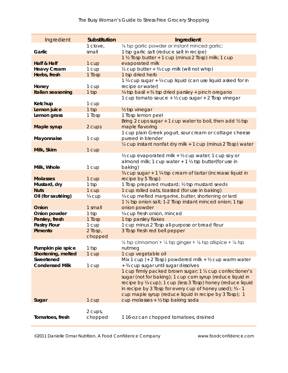| Ingredient            | <b>Substitution</b> | Ingredient                                                                                             |
|-----------------------|---------------------|--------------------------------------------------------------------------------------------------------|
|                       | 1 clove,            | 1/8 tsp garlic powder or instant minced garlic;                                                        |
| Garlic                | small               | 1 tsp garlic salt (reduce salt in recipe)                                                              |
|                       |                     | 1 1/2 Tbsp butter + 1 cup (minus 2 Tbsp) milk; 1 cup                                                   |
| Half & Half           | 1 cup               | evaporated milk                                                                                        |
| <b>Heavy Cream</b>    | 1 cup               | 1/3 cup butter + 3/4 cup milk (will not whip)                                                          |
| Herbs, fresh          | 1 Tbsp              | 1 tsp dried herb                                                                                       |
|                       |                     | 1 ¼ cup sugar + ¼ cup liquid (can use liquid asked for in                                              |
| Honey                 | 1 cup               | recipe or water)                                                                                       |
| Italian seasoning     | $1$ tsp             | $\frac{1}{4}$ tsp basil + $\frac{2}{3}$ tsp dried parsley + pinch oregano                              |
|                       |                     | 1 cup tomato sauce + 1/2 cup sugar + 2 Tbsp vinegar                                                    |
| Ketchup               | 1 cup               |                                                                                                        |
| Lemon juice           | 1 tsp               | 1/ <sub>2</sub> tsp vinegar                                                                            |
| Lemon grass           | 1 Tbsp              | 1 Tbsp lemon peel                                                                                      |
|                       |                     | Bring 2 cups sugar $+1$ cup water to boil, then add $\frac{1}{2}$ tsp                                  |
| Maple syrup           | 2 cups              | maple flavoring                                                                                        |
|                       |                     | 1 cup plain Greek yogurt, sour cream or cottage cheese                                                 |
| Mayonnaise            | 1 cup               | pureed in blender                                                                                      |
|                       |                     | 1/3 cup instant nonfat dry milk + 1 cup (minus 2 Tbsp) water                                           |
| Milk, Skim            | 1 cup               |                                                                                                        |
|                       |                     | 1/2 cup evaporated milk + 1/2 cup water; 1 cup soy or                                                  |
|                       |                     | almond milk; 1 cup water $+1$ $\frac{1}{2}$ tsp butter(for use in                                      |
| Milk, Whole           | 1 cup               | baking)                                                                                                |
|                       |                     | 34 cup sugar + 1 14 tsp cream of tartar (increase liquid in                                            |
| <b>Molasses</b>       | 1 cup               | recipe by 5 Tbsp)                                                                                      |
| Mustard, dry          | 1 tsp               | 1 Tbsp prepared mustard; 1/2 tsp mustard seeds                                                         |
| <b>Nuts</b>           | 1 cup               | 1 cup rolled oats, toasted (for use in baking)                                                         |
| Oil (for sautéing)    | 1/4 cup             | 1/4 cup melted margarine, butter, shortening or lard                                                   |
|                       |                     | 1 1/ <sub>3</sub> tsp onion salt; 1-2 Tbsp instant minced onion; 1 tsp                                 |
| Onion                 | 1 small             | onion powder                                                                                           |
| Onion powder          | 1 tsp               | 1/4 cup fresh onion, minced                                                                            |
| Parsley, fresh        | 1 Tbsp              | 1 tsp parsley flakes                                                                                   |
| <b>Pastry Flour</b>   | 1 cup               | 1 cup minus 2 Tbsp all-purpose or bread flour                                                          |
| Pimento               | 2 Tbsp,             | 3 Tbsp fresh red bell pepper                                                                           |
|                       | chopped             |                                                                                                        |
|                       |                     | $\frac{1}{2}$ tsp cinnamon + $\frac{1}{4}$ tsp ginger + $\frac{1}{8}$ tsp allspice + $\frac{1}{8}$ tsp |
| Pumpkin pie spice     | 1 tsp               | nutmeg                                                                                                 |
| Shortening, melted    | 1 cup               | 1 cup vegetable oil                                                                                    |
| Sweetened             |                     | Mix 1 cup (+ 2 Tbsp) powdered milk + $\frac{1}{2}$ cup warm water                                      |
| <b>Condensed Milk</b> | 1 cup               | + 3/4 cup sugar until sugar dissolves                                                                  |
|                       |                     | 1 cup firmly packed brown sugar; 1 1/3 cup confectioner's                                              |
|                       |                     | sugar (not for baking); 1 cup corn syrup (reduce liquid in                                             |
|                       |                     | recipe by ¼ cup); 1 cup (less 3 Tbsp) honey (reduce liquid                                             |
|                       |                     | in recipe by 3 Tbsp for every cup of honey used); 34 - 1                                               |
|                       |                     | cup maple syrup (reduce liquid in recipe by 3 Tbsp); 1                                                 |
| Sugar                 | 1 cup               | cup molasses + $\frac{1}{2}$ tsp baking soda                                                           |
|                       |                     |                                                                                                        |
|                       | 2 cups,             |                                                                                                        |
| Tomatoes, fresh       | chopped             | 116-oz can chopped tomatoes, drained                                                                   |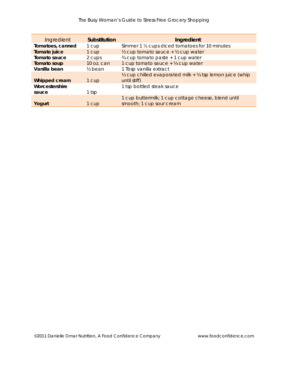| Ingredient       | <b>Substitution</b> | Ingredient                                                                                      |
|------------------|---------------------|-------------------------------------------------------------------------------------------------|
| Tomatoes, canned | 1 cup               | Simmer 1 1/ <sub>3</sub> cups diced tomatoes for 10 minutes                                     |
| Tomato juice     | 1 cup               | $\frac{1}{2}$ cup tomato sauce + $\frac{1}{2}$ cup water                                        |
| Tomato sauce     | 2 cups              | 34 cup tomato paste + 1 cup water                                                               |
| Tomato soup      | 10 oz. can          | 1 cup tomato sauce $+$ $\frac{1}{4}$ cup water                                                  |
| Vanilla bean     | $\frac{1}{2}$ bean  | 1 Tbsp vanilla extract                                                                          |
| Whipped cream    | 1 cup               | $\frac{1}{2}$ cup chilled evaporated milk + $\frac{1}{4}$ tsp lemon juice (whip<br>until stiff) |
| Worcestershire   |                     | 1 tsp bottled steak sauce                                                                       |
| sauce            | 1 tsp               |                                                                                                 |
|                  |                     | 1 cup buttermilk; 1 cup cottage cheese, blend until                                             |
| Yogurt           | 1 cup               | smooth; 1 cup sour cream                                                                        |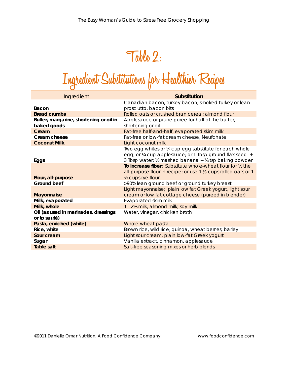# **Table 2:**

# **Ingredient Substitutions for Healthier Recipes**

| Ingredient                                             | Substitution                                                                                                        |
|--------------------------------------------------------|---------------------------------------------------------------------------------------------------------------------|
| Bacon                                                  | Canadian bacon, turkey bacon, smoked turkey or lean<br>prosciutto, bacon bits                                       |
| <b>Bread crumbs</b>                                    | Rolled oats or crushed bran cereal; almond flour                                                                    |
| Butter, margarine, shortening or oil in<br>baked goods | Applesauce or prune puree for half of the butter,<br>shortening or oil                                              |
| Cream                                                  | Fat-free half-and-half, evaporated skim milk                                                                        |
| Cream cheese                                           | Fat-free or low-fat cream cheese, Neufchatel                                                                        |
| <b>Coconut Milk</b>                                    | Light coconut milk                                                                                                  |
|                                                        | Two egg whites or 1/4 cup egg substitute for each whole<br>egg; or 1/4 cup applesauce; or 1 Tbsp ground flax seed + |
| Eggs                                                   | 3 Tbsp water; 1/2 mashed banana + 1/4 tsp baking powder                                                             |
|                                                        | To increase fiber: Substitute whole-wheat flour for 1/2 the                                                         |
|                                                        | all-purpose flour in recipe; or use 1 1/3 cups rolled oats or 1                                                     |
| Flour, all-purpose<br>Ground beef                      | 1/4 cups rye flour.                                                                                                 |
|                                                        | >90% lean ground beef or ground turkey breast                                                                       |
| <b>Mayonnaise</b>                                      | Light mayonnaise; plain low fat Greek yogurt, light sour<br>cream or low fat cottage cheese (pureed in blender)     |
| Milk, evaporated                                       | Evaporated skim milk                                                                                                |
| Milk, whole                                            | 1 - 2% milk, almond milk, soy milk                                                                                  |
| Oil (as used in marinades, dressings<br>or to sauté)   | Water, vinegar, chicken broth                                                                                       |
| Pasta, enriched (white)                                | Whole-wheat pasta                                                                                                   |
| Rice, white                                            | Brown rice, wild rice, quinoa, wheat berries, barley                                                                |
| Sour cream                                             | Light sour cream, plain low-fat Greek yogurt                                                                        |
| Sugar                                                  | Vanilla extract, cinnamon, applesauce                                                                               |
| <b>Table salt</b>                                      | Salt-free seasoning mixes or herb blends                                                                            |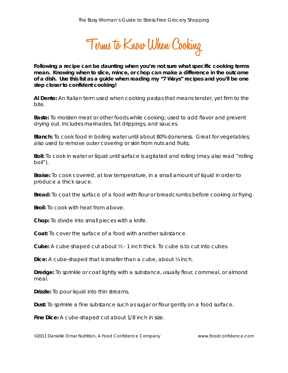**Terms to Know When Cooking** 

*Following a recipe can be daunting when you're not sure what specific cooking terms mean. Knowing when to slice, mince, or chop can make a difference in the outcome of a dish. Use this list as a guide when reading my "7 Ways" recipes and you'll be one step closer to confident cooking!* 

**Al Dente:** An Italian term used when cooking pastas that means tender, yet firm to the bite.

**Baste:** To moisten meat or other foods while cooking; used to add flavor and prevent drying out. Includes marinades, fat drippings, and sauces.

**Blanch:** To cook food in boiling water until about 80% doneness. Great for vegetables; also used to remove outer covering or skin from nuts and fruits.

**Boil:** To cook in water or liquid until surface is agitated and rolling (may also read "rolling boil").

**Braise:** To cook covered, at low temperature, in a small amount of liquid in order to produce a thick sauce.

**Bread:** To coat the surface of a food with flour or breadcrumbs before cooking or frying.

**Broil:** To cook with heat from above.

**Chop:** To divide into small pieces with a knife.

**Coat:** To cover the surface of a food with another substance.

**Cube:** A cube-shaped cut about ½ - 1 inch thick. To cube is to cut into cubes.

**Dice:** A cube-shaped that is smaller than a cube, about ¼ inch.

**Dredge:** To sprinkle or coat lightly with a substance, usually flour, cornmeal, or almond meal.

**Drizzle:** To pour liquid into thin streams.

**Dust:** To sprinkle a fine substance such as sugar or flour gently on a food surface.

**Fine Dice:** A cube-shaped cut about 1/8 inch in size.

©2011 Danielle Omar Nutrition, A Food Confidence Company www.foodconfidence.com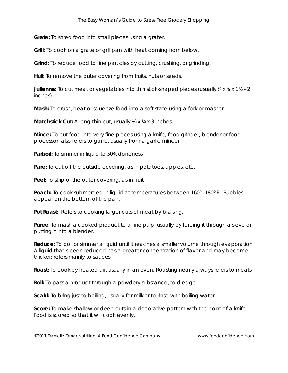**Grate:** To shred food into small pieces using a grater.

**Grill:** To cook on a grate or grill pan with heat coming from below.

**Grind:** To reduce food to fine particles by cutting, crushing, or grinding.

**Hull:** To remove the outer covering from fruits, nuts or seeds.

**Julienne:** To cut meat or vegetables into thin stick-shaped pieces (usually ⅛ x ⅛ x 1½ - 2 inches).

**Mash:** To crush, beat or squeeze food into a soft state using a fork or masher.

**Matchstick Cut:** A long thin cut, usually  $\frac{1}{4}$  x  $\frac{1}{4}$  x 3 inches.

**Mince:** To cut food into very fine pieces using a knife, food grinder, blender or food processor; also refers to garlic, usually from a garlic mincer.

**Parboil:** To simmer in liquid to 50% doneness.

**Pare:** To cut off the outside covering, as in potatoes, apples, etc.

**Peel:** To strip of the outer covering, as in fruit.

**Poach:** To cook submerged in liquid at temperatures between 160° -180º F. Bubbles appear on the bottom of the pan.

**Pot Roast:** Refers to cooking larger cuts of meat by braising.

**Puree**: To mash a cooked product to a fine pulp, usually by forcing it through a sieve or putting it into a blender.

**Reduce:** To boil or simmer a liquid until it reaches a smaller volume through evaporation. A liquid that's been reduced has a greater concentration of flavor and may become thicker; refers mainly to sauces.

**Roast:** To cook by heated air, usually in an oven. Roasting nearly always refers to meats.

**Roll:** To pass a product through a powdery substance; to dredge.

**Scald:** To bring just to boiling, usually for milk or to rinse with boiling water.

**Score:** To make shallow or deep cuts in a decorative pattern with the point of a knife. Food is scored so that it will cook evenly.